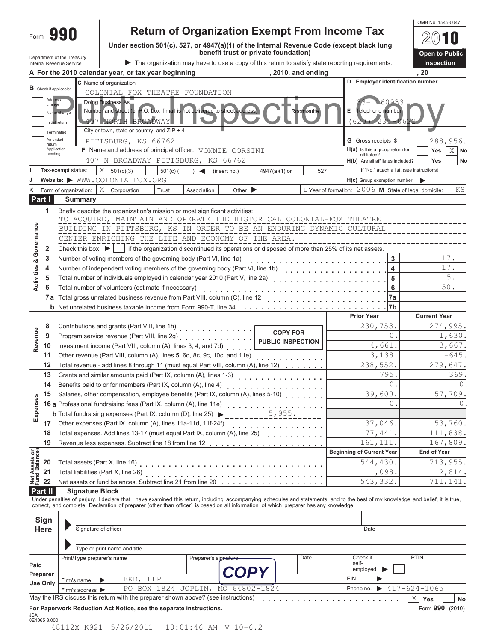|                                |                               |                                      |                                                                                                                                                                                                                                                                                                                          |                                                        | OMB No. 1545-0047     |  |  |  |  |  |
|--------------------------------|-------------------------------|--------------------------------------|--------------------------------------------------------------------------------------------------------------------------------------------------------------------------------------------------------------------------------------------------------------------------------------------------------------------------|--------------------------------------------------------|-----------------------|--|--|--|--|--|
| Form                           |                               | 990                                  | <b>Return of Organization Exempt From Income Tax</b>                                                                                                                                                                                                                                                                     |                                                        |                       |  |  |  |  |  |
|                                |                               |                                      | Under section 501(c), 527, or 4947(a)(1) of the Internal Revenue Code (except black lung                                                                                                                                                                                                                                 |                                                        |                       |  |  |  |  |  |
|                                |                               | Department of the Treasury           | benefit trust or private foundation)                                                                                                                                                                                                                                                                                     |                                                        | <b>Open to Public</b> |  |  |  |  |  |
|                                |                               | Internal Revenue Service             | The organization may have to use a copy of this return to satisfy state reporting requirements.                                                                                                                                                                                                                          |                                                        | Inspection            |  |  |  |  |  |
|                                |                               |                                      | , 2010, and ending<br>A For the 2010 calendar year, or tax year beginning                                                                                                                                                                                                                                                |                                                        | , 20                  |  |  |  |  |  |
|                                | <b>B</b> Check if applicable: |                                      | C Name of organization                                                                                                                                                                                                                                                                                                   | D Employer identification number                       |                       |  |  |  |  |  |
|                                | Addres                        |                                      | COLONIAL FOX THEATRE FOUNDATION                                                                                                                                                                                                                                                                                          |                                                        |                       |  |  |  |  |  |
|                                | change                        |                                      | Doing Business As<br>Number and street (or P.O. box if mail is not delivered to street address)                                                                                                                                                                                                                          | 160933                                                 |                       |  |  |  |  |  |
|                                |                               | Name change                          | Room/suite                                                                                                                                                                                                                                                                                                               | Е<br>Telephone number                                  |                       |  |  |  |  |  |
|                                | Initial return                |                                      | <b>407 NORTH BROADWAY</b><br>City or town, state or country, and $ZIP + 4$                                                                                                                                                                                                                                               | $(620)$ 235-                                           |                       |  |  |  |  |  |
|                                | Terminated<br>Amended         |                                      | PITTSBURG, KS 66762                                                                                                                                                                                                                                                                                                      | G Gross receipts \$                                    | 288,956.              |  |  |  |  |  |
|                                | return<br>Application         |                                      | F Name and address of principal officer: VONNIE CORSINI                                                                                                                                                                                                                                                                  | H(a) Is this a group return for                        | $X$ No<br><b>Yes</b>  |  |  |  |  |  |
|                                | pending                       |                                      | 407 N BROADWAY PITTSBURG, KS 66762                                                                                                                                                                                                                                                                                       | affiliates?<br>H(b) Are all affiliates included?       | Yes<br>No             |  |  |  |  |  |
|                                |                               | Tax-exempt status:                   | Χ<br>$501(c)$ (<br>501(c)(3)<br>$4947(a)(1)$ or<br>527<br>$\rightarrow$<br>(insert no.)                                                                                                                                                                                                                                  | If "No," attach a list. (see instructions)             |                       |  |  |  |  |  |
|                                |                               |                                      | Website: WWW.COLONIALFOX.ORG                                                                                                                                                                                                                                                                                             | H(c) Group exemption number                            |                       |  |  |  |  |  |
|                                |                               | Form of organization:                | X<br>Corporation<br>Trust<br>Association<br>Other $\blacktriangleright$                                                                                                                                                                                                                                                  | L Year of formation: $2006$ M State of legal domicile: | ΚS                    |  |  |  |  |  |
| Part I                         |                               | <b>Summary</b>                       |                                                                                                                                                                                                                                                                                                                          |                                                        |                       |  |  |  |  |  |
|                                | 1                             |                                      | Briefly describe the organization's mission or most significant activities:                                                                                                                                                                                                                                              |                                                        |                       |  |  |  |  |  |
|                                |                               |                                      | TO ACQUIRE, MAINTAIN AND OPERATE THE HISTORICAL COLONIAL-FOX THEATRE                                                                                                                                                                                                                                                     |                                                        |                       |  |  |  |  |  |
|                                |                               |                                      | BUILDING IN PITTSBURG, KS IN ORDER TO BE AN ENDURING DYNAMIC CULTURAL                                                                                                                                                                                                                                                    |                                                        |                       |  |  |  |  |  |
| Governance                     |                               |                                      | CENTER ENRICHING THE LIFE AND ECONOMY OF THE AREA.                                                                                                                                                                                                                                                                       |                                                        |                       |  |  |  |  |  |
|                                | 2                             | Check this box $\blacktriangleright$ | if the organization discontinued its operations or disposed of more than 25% of its net assets.                                                                                                                                                                                                                          |                                                        |                       |  |  |  |  |  |
|                                | 3                             |                                      | Number of voting members of the governing body (Part VI, line 1a)                                                                                                                                                                                                                                                        | 3                                                      | 17.                   |  |  |  |  |  |
| <b>Activities &amp;</b>        | 4                             |                                      | Number of independent voting members of the governing body (Part VI, line 1b)                                                                                                                                                                                                                                            | 4                                                      | 17.                   |  |  |  |  |  |
|                                | 5                             |                                      | Total number of individuals employed in calendar year 2010 (Part V, line 2a)                                                                                                                                                                                                                                             | 5                                                      | $5$ .                 |  |  |  |  |  |
|                                | 6                             |                                      | Total number of volunteers (estimate if necessary)                                                                                                                                                                                                                                                                       | 6                                                      | 50.                   |  |  |  |  |  |
|                                |                               |                                      | 7a Total gross unrelated business revenue from Part VIII, column (C), line 12                                                                                                                                                                                                                                            | 7a                                                     |                       |  |  |  |  |  |
|                                |                               |                                      | <b>b</b> Net unrelated business taxable income from Form 990-T, line $34 \cdot \cdot \cdot \cdot$                                                                                                                                                                                                                        | 7b                                                     |                       |  |  |  |  |  |
|                                |                               |                                      |                                                                                                                                                                                                                                                                                                                          | <b>Prior Year</b>                                      | <b>Current Year</b>   |  |  |  |  |  |
|                                | 8                             |                                      | Contributions and grants (Part VIII, line 1h)                                                                                                                                                                                                                                                                            | 230,753.                                               | 274,995.              |  |  |  |  |  |
| Revenue                        | 9                             |                                      | <b>COPY FOR</b><br>Program service revenue (Part VIII, line 2g)                                                                                                                                                                                                                                                          | 0.                                                     | 1,630.                |  |  |  |  |  |
|                                | 10                            |                                      | <b>PUBLIC INSPECTION</b><br>Investment income (Part VIII, column (A), lines 3, 4, and 7d)                                                                                                                                                                                                                                | 4,661.                                                 | 3,667.                |  |  |  |  |  |
|                                | 11                            |                                      | Other revenue (Part VIII, column (A), lines 5, 6d, 8c, 9c, 10c, and 11e)                                                                                                                                                                                                                                                 | 3,138.                                                 | $-645.$               |  |  |  |  |  |
|                                | 12                            |                                      | Total revenue - add lines 8 through 11 (must equal Part VIII, column (A), line 12)                                                                                                                                                                                                                                       | 238,552.                                               | 279,647.              |  |  |  |  |  |
|                                | 13                            |                                      | Grants and similar amounts paid (Part IX, column (A), lines 1-3)                                                                                                                                                                                                                                                         | 795.                                                   | 369.                  |  |  |  |  |  |
|                                | 14                            |                                      | Benefits paid to or for members (Part IX, column (A), line 4)                                                                                                                                                                                                                                                            | 0.                                                     | $0$ .                 |  |  |  |  |  |
|                                | 15                            |                                      | Salaries, other compensation, employee benefits (Part IX, column (A), lines 5-10)                                                                                                                                                                                                                                        | 39,600.                                                | 57,709.               |  |  |  |  |  |
| Expenses                       |                               |                                      | <b>15</b> Salaries, onder components of (Part IX, column (A), line 11e)<br><b>16 a</b> Professional fundraising fees (Part IX, column (A), line 25)<br>$\frac{5.955}{2}$                                                                                                                                                 | 0.                                                     | 0.                    |  |  |  |  |  |
|                                |                               |                                      |                                                                                                                                                                                                                                                                                                                          |                                                        |                       |  |  |  |  |  |
|                                | 17                            |                                      | Other expenses (Part IX, column (A), lines 11a-11d, 11f-24f)<br>.                                                                                                                                                                                                                                                        | 37,046.                                                | 53,760.               |  |  |  |  |  |
|                                | 18                            |                                      | Total expenses. Add lines 13-17 (must equal Part IX, column (A), line 25)<br>ana na nanana na k                                                                                                                                                                                                                          | 77,441.                                                | 111,838.              |  |  |  |  |  |
|                                | 19                            |                                      |                                                                                                                                                                                                                                                                                                                          | 161, 111.                                              | 167,809.              |  |  |  |  |  |
| Net Assets or<br>Fund Balances |                               |                                      |                                                                                                                                                                                                                                                                                                                          | <b>Beginning of Current Year</b>                       | <b>End of Year</b>    |  |  |  |  |  |
|                                | 20                            |                                      |                                                                                                                                                                                                                                                                                                                          | 544,430.                                               | 713,955.              |  |  |  |  |  |
|                                | 21                            |                                      | Total liabilities (Part X, line 26)                                                                                                                                                                                                                                                                                      | 1,098.                                                 | 2,814.                |  |  |  |  |  |
|                                | 22                            |                                      | Net assets or fund balances. Subtract line 21 from line 20                                                                                                                                                                                                                                                               | 543,332.                                               | 711,141.              |  |  |  |  |  |
| <b>Part II</b>                 |                               | <b>Signature Block</b>               |                                                                                                                                                                                                                                                                                                                          |                                                        |                       |  |  |  |  |  |
|                                |                               |                                      | Under penalties of perjury, I declare that I have examined this return, including accompanying schedules and statements, and to the best of my knowledge and belief, it is true,<br>correct, and complete. Declaration of preparer (other than officer) is based on all information of which preparer has any knowledge. |                                                        |                       |  |  |  |  |  |
|                                |                               |                                      |                                                                                                                                                                                                                                                                                                                          |                                                        |                       |  |  |  |  |  |
|                                | Sign                          |                                      |                                                                                                                                                                                                                                                                                                                          |                                                        |                       |  |  |  |  |  |
|                                | <b>Here</b>                   | Signature of officer                 |                                                                                                                                                                                                                                                                                                                          | Date                                                   |                       |  |  |  |  |  |
|                                |                               |                                      |                                                                                                                                                                                                                                                                                                                          |                                                        |                       |  |  |  |  |  |
|                                |                               |                                      | Type or print name and title                                                                                                                                                                                                                                                                                             |                                                        |                       |  |  |  |  |  |
| Paid                           |                               | Print/Type preparer's name           | Date<br>Preparer's signature                                                                                                                                                                                                                                                                                             | Check if<br>self-                                      | <b>PTIN</b>           |  |  |  |  |  |
| Preparer                       |                               |                                      |                                                                                                                                                                                                                                                                                                                          | employed                                               |                       |  |  |  |  |  |
|                                | <b>Use Only</b>               | Firm's name                          | BKD, LLP                                                                                                                                                                                                                                                                                                                 | EIN                                                    |                       |  |  |  |  |  |
|                                |                               | Firm's address >                     | PO BOX 1824 JOPLIN, MO 64802-1824                                                                                                                                                                                                                                                                                        | Phone no.                                              | $417 - 624 - 1065$    |  |  |  |  |  |
|                                |                               |                                      | May the IRS discuss this return with the preparer shown above? (see instructions)                                                                                                                                                                                                                                        |                                                        | Χ<br>Yes<br>No        |  |  |  |  |  |
|                                |                               |                                      | For Paperwork Reduction Act Notice, see the separate instructions.                                                                                                                                                                                                                                                       |                                                        | Form 990 (2010)       |  |  |  |  |  |
| JSA                            | 0E1065 3.000                  |                                      |                                                                                                                                                                                                                                                                                                                          |                                                        |                       |  |  |  |  |  |

48112X K921 5/26/2011 10:01:46 AM V 10-6.2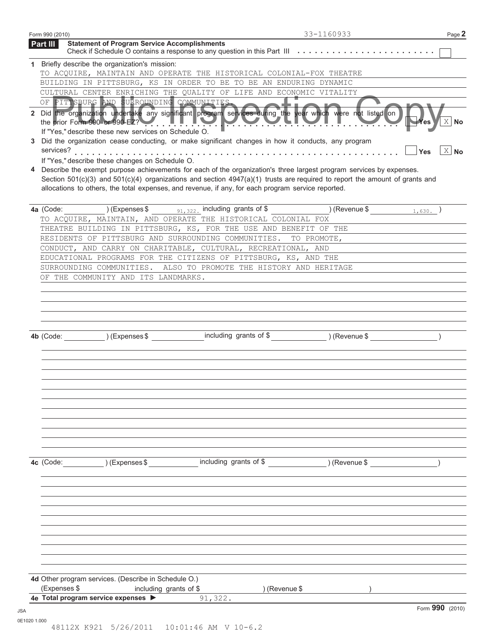| Part III     |                                                               |                                                                                                                                                                                                                                                                                                                                                                                                                                                                                                                                                                                                           | 33-1160933    | Page 2               |
|--------------|---------------------------------------------------------------|-----------------------------------------------------------------------------------------------------------------------------------------------------------------------------------------------------------------------------------------------------------------------------------------------------------------------------------------------------------------------------------------------------------------------------------------------------------------------------------------------------------------------------------------------------------------------------------------------------------|---------------|----------------------|
|              | <b>Statement of Program Service Accomplishments</b>           | Check if Schedule O contains a response to any question in this Part III                                                                                                                                                                                                                                                                                                                                                                                                                                                                                                                                  |               |                      |
|              | 1 Briefly describe the organization's mission:                |                                                                                                                                                                                                                                                                                                                                                                                                                                                                                                                                                                                                           |               |                      |
|              |                                                               | TO ACQUIRE, MAINTAIN AND OPERATE THE HISTORICAL COLONIAL-FOX THEATRE                                                                                                                                                                                                                                                                                                                                                                                                                                                                                                                                      |               |                      |
|              |                                                               | BUILDING IN PITTSBURG, KS IN ORDER TO BE TO BE AN ENDURING DYNAMIC                                                                                                                                                                                                                                                                                                                                                                                                                                                                                                                                        |               |                      |
|              |                                                               | CULTURAL CENTER ENRICHING THE QUALITY OF LIFE AND ECONOMIC VITALITY                                                                                                                                                                                                                                                                                                                                                                                                                                                                                                                                       |               |                      |
|              |                                                               | OF PITTSBURG AND SURROUNDING COMMUNITIES                                                                                                                                                                                                                                                                                                                                                                                                                                                                                                                                                                  |               |                      |
| 3            | If "Yes," describe these new services on Schedule O.          | 2 Did the organization undertake any significant program services during the year which were not listed on<br>the prior Form 990 or 990-EZ? $\blacksquare$ . If $\blacksquare$ if $\blacksquare$ if $\blacksquare$ if $\blacksquare$ if $\blacksquare$ if $\blacksquare$ if $\blacksquare$ if $\blacksquare$ if $\blacksquare$ if $\blacksquare$ if $\blacksquare$ if $\blacksquare$ if $\blacksquare$ if $\blacksquare$ if $\blacksquare$ if $\blacksquare$ if $\blacksquare$ if $\blacksquare$ if<br>Did the organization cease conducting, or make significant changes in how it conducts, any program |               | $X$ No               |
| services?    |                                                               |                                                                                                                                                                                                                                                                                                                                                                                                                                                                                                                                                                                                           |               | $X$ No<br><b>Yes</b> |
|              | If "Yes," describe these changes on Schedule O.               |                                                                                                                                                                                                                                                                                                                                                                                                                                                                                                                                                                                                           |               |                      |
|              |                                                               | Describe the exempt purpose achievements for each of the organization's three largest program services by expenses.<br>Section $501(c)(3)$ and $501(c)(4)$ organizations and section $4947(a)(1)$ trusts are required to report the amount of grants and<br>allocations to others, the total expenses, and revenue, if any, for each program service reported.                                                                                                                                                                                                                                            |               |                      |
|              |                                                               | 4a (Code: (Expenses \$ 31, 322, including grants of \$ ) (Revenue \$ 1, 630.)                                                                                                                                                                                                                                                                                                                                                                                                                                                                                                                             |               |                      |
|              |                                                               | TO ACQUIRE, MAINTAIN, AND OPERATE THE HISTORICAL COLONIAL FOX                                                                                                                                                                                                                                                                                                                                                                                                                                                                                                                                             |               |                      |
|              |                                                               | THEATRE BUILDING IN PITTSBURG, KS, FOR THE USE AND BENEFIT OF THE                                                                                                                                                                                                                                                                                                                                                                                                                                                                                                                                         |               |                      |
|              |                                                               | RESIDENTS OF PITTSBURG AND SURROUNDING COMMUNITIES. TO PROMOTE,                                                                                                                                                                                                                                                                                                                                                                                                                                                                                                                                           |               |                      |
|              |                                                               | CONDUCT, AND CARRY ON CHARITABLE, CULTURAL, RECREATIONAL, AND                                                                                                                                                                                                                                                                                                                                                                                                                                                                                                                                             |               |                      |
|              |                                                               | EDUCATIONAL PROGRAMS FOR THE CITIZENS OF PITTSBURG, KS, AND THE                                                                                                                                                                                                                                                                                                                                                                                                                                                                                                                                           |               |                      |
|              |                                                               | SURROUNDING COMMUNITIES. ALSO TO PROMOTE THE HISTORY AND HERITAGE                                                                                                                                                                                                                                                                                                                                                                                                                                                                                                                                         |               |                      |
|              | OF THE COMMUNITY AND ITS LANDMARKS.                           |                                                                                                                                                                                                                                                                                                                                                                                                                                                                                                                                                                                                           |               |                      |
|              |                                                               |                                                                                                                                                                                                                                                                                                                                                                                                                                                                                                                                                                                                           |               |                      |
|              |                                                               |                                                                                                                                                                                                                                                                                                                                                                                                                                                                                                                                                                                                           |               |                      |
|              |                                                               |                                                                                                                                                                                                                                                                                                                                                                                                                                                                                                                                                                                                           |               |                      |
|              |                                                               |                                                                                                                                                                                                                                                                                                                                                                                                                                                                                                                                                                                                           |               |                      |
|              |                                                               |                                                                                                                                                                                                                                                                                                                                                                                                                                                                                                                                                                                                           |               |                      |
|              |                                                               |                                                                                                                                                                                                                                                                                                                                                                                                                                                                                                                                                                                                           |               |                      |
|              |                                                               | 4b (Code: ) (Expenses \$ including grants of \$ ) (Revenue \$ )                                                                                                                                                                                                                                                                                                                                                                                                                                                                                                                                           |               |                      |
|              |                                                               |                                                                                                                                                                                                                                                                                                                                                                                                                                                                                                                                                                                                           |               |                      |
|              |                                                               |                                                                                                                                                                                                                                                                                                                                                                                                                                                                                                                                                                                                           |               |                      |
|              |                                                               |                                                                                                                                                                                                                                                                                                                                                                                                                                                                                                                                                                                                           |               |                      |
|              |                                                               |                                                                                                                                                                                                                                                                                                                                                                                                                                                                                                                                                                                                           |               |                      |
|              |                                                               |                                                                                                                                                                                                                                                                                                                                                                                                                                                                                                                                                                                                           |               |                      |
|              |                                                               |                                                                                                                                                                                                                                                                                                                                                                                                                                                                                                                                                                                                           |               |                      |
|              |                                                               |                                                                                                                                                                                                                                                                                                                                                                                                                                                                                                                                                                                                           |               |                      |
|              |                                                               |                                                                                                                                                                                                                                                                                                                                                                                                                                                                                                                                                                                                           |               |                      |
|              |                                                               |                                                                                                                                                                                                                                                                                                                                                                                                                                                                                                                                                                                                           |               |                      |
|              |                                                               |                                                                                                                                                                                                                                                                                                                                                                                                                                                                                                                                                                                                           |               |                      |
|              |                                                               |                                                                                                                                                                                                                                                                                                                                                                                                                                                                                                                                                                                                           |               |                      |
|              |                                                               |                                                                                                                                                                                                                                                                                                                                                                                                                                                                                                                                                                                                           |               |                      |
|              | 4c (Code: ) (Expenses \$                                      | including grants of \$                                                                                                                                                                                                                                                                                                                                                                                                                                                                                                                                                                                    | ) (Revenue \$ |                      |
|              |                                                               |                                                                                                                                                                                                                                                                                                                                                                                                                                                                                                                                                                                                           |               |                      |
|              |                                                               |                                                                                                                                                                                                                                                                                                                                                                                                                                                                                                                                                                                                           |               |                      |
|              |                                                               |                                                                                                                                                                                                                                                                                                                                                                                                                                                                                                                                                                                                           |               |                      |
|              |                                                               |                                                                                                                                                                                                                                                                                                                                                                                                                                                                                                                                                                                                           |               |                      |
|              |                                                               |                                                                                                                                                                                                                                                                                                                                                                                                                                                                                                                                                                                                           |               |                      |
|              |                                                               |                                                                                                                                                                                                                                                                                                                                                                                                                                                                                                                                                                                                           |               |                      |
|              |                                                               |                                                                                                                                                                                                                                                                                                                                                                                                                                                                                                                                                                                                           |               |                      |
|              |                                                               |                                                                                                                                                                                                                                                                                                                                                                                                                                                                                                                                                                                                           |               |                      |
|              |                                                               |                                                                                                                                                                                                                                                                                                                                                                                                                                                                                                                                                                                                           |               |                      |
|              |                                                               |                                                                                                                                                                                                                                                                                                                                                                                                                                                                                                                                                                                                           |               |                      |
|              |                                                               |                                                                                                                                                                                                                                                                                                                                                                                                                                                                                                                                                                                                           |               |                      |
|              |                                                               |                                                                                                                                                                                                                                                                                                                                                                                                                                                                                                                                                                                                           |               |                      |
|              | 4d Other program services. (Describe in Schedule O.)          |                                                                                                                                                                                                                                                                                                                                                                                                                                                                                                                                                                                                           |               |                      |
| (Expenses \$ | including grants of \$<br>4e Total program service expenses > | ) (Revenue \$<br>91,322.                                                                                                                                                                                                                                                                                                                                                                                                                                                                                                                                                                                  |               |                      |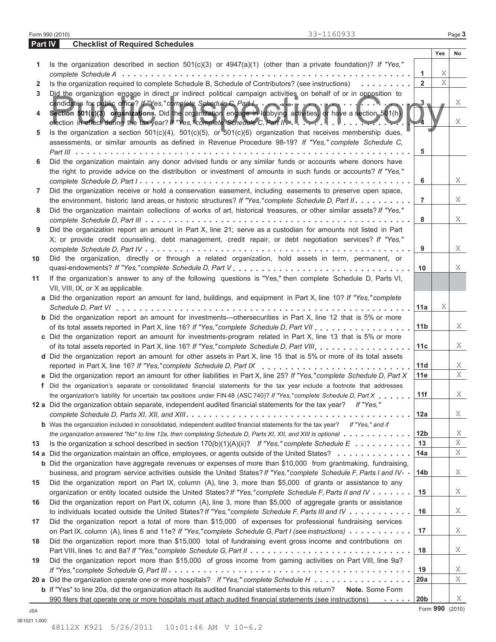|         | 33-1160933<br>Form 990 (2010)                                                                                                                                                                                                 |                 |     | Page 3    |
|---------|-------------------------------------------------------------------------------------------------------------------------------------------------------------------------------------------------------------------------------|-----------------|-----|-----------|
| Part IV | <b>Checklist of Required Schedules</b>                                                                                                                                                                                        |                 |     |           |
|         |                                                                                                                                                                                                                               |                 | Yes | <b>No</b> |
| 1.      | Is the organization described in section $501(c)(3)$ or $4947(a)(1)$ (other than a private foundation)? If "Yes,"                                                                                                             |                 |     |           |
|         |                                                                                                                                                                                                                               | 1               | Χ   |           |
| 2       | Is the organization required to complete Schedule B, Schedule of Contributors? (see instructions)                                                                                                                             | $\overline{2}$  | X   |           |
| 3       | Did the organization engage in direct or indirect political campaign activities on behalf of or in opposition to                                                                                                              |                 |     |           |
|         |                                                                                                                                                                                                                               | $3 -$           |     | X         |
| 4       | Section 501(c)(3) organizations. Did the organization engage in lobbying activities, or have a section 501(h)<br>election in effect during the tax year? If "Yes,"complete Schedule C, Part II                                |                 |     | X         |
| 5       | Is the organization a section $501(c)(4)$ , $501(c)(5)$ , or $501(c)(6)$ organization that receives membership dues,<br>assessments, or similar amounts as defined in Revenue Procedure 98-19? If "Yes," complete Schedule C, |                 |     |           |
|         | $Part III \ldots \ldots \ldots \ldots \ldots \ldots$                                                                                                                                                                          | 5               |     |           |
| 6       | Did the organization maintain any donor advised funds or any similar funds or accounts where donors have<br>the right to provide advice on the distribution or investment of amounts in such funds or accounts? If "Yes,"     |                 |     |           |
|         |                                                                                                                                                                                                                               | 6               |     | X         |
| 7       | Did the organization receive or hold a conservation easement, including easements to preserve open space,                                                                                                                     |                 |     |           |
|         | the environment, historic land areas, or historic structures? If "Yes," complete Schedule D, Part II.                                                                                                                         | $\overline{7}$  |     | X         |
| 8       | Did the organization maintain collections of works of art, historical treasures, or other similar assets? If "Yes,"                                                                                                           |                 |     | X         |
|         |                                                                                                                                                                                                                               | 8               |     |           |
| 9       | Did the organization report an amount in Part X, line 21; serve as a custodian for amounts not listed in Part<br>X; or provide credit counseling, debt management, credit repair, or debt negotiation services? If "Yes,"     |                 |     |           |
|         |                                                                                                                                                                                                                               | 9               |     | X         |
| 10      | Did the organization, directly or through a related organization, hold assets in term, permanent, or                                                                                                                          |                 |     |           |
|         |                                                                                                                                                                                                                               | 10              |     | X         |
| 11      | If the organization's answer to any of the following questions is "Yes," then complete Schedule D, Parts VI,                                                                                                                  |                 |     |           |
|         | VII, VIII, IX, or X as applicable.                                                                                                                                                                                            |                 |     |           |
|         | a Did the organization report an amount for land, buildings, and equipment in Part X, line 10? If "Yes," complete                                                                                                             |                 |     |           |
|         |                                                                                                                                                                                                                               | 11a             | Χ   |           |
|         | <b>b</b> Did the organization report an amount for investments—othersecurities in Part X, line 12 that is 5% or more                                                                                                          |                 |     |           |
|         |                                                                                                                                                                                                                               | 11 <sub>b</sub> |     | X         |
|         | c Did the organization report an amount for investments-program related in Part X, line 13 that is 5% or more                                                                                                                 |                 |     |           |
|         |                                                                                                                                                                                                                               | 11c             |     | X         |
|         | d Did the organization report an amount for other assets in Part X, line 15 that is 5% or more of its total assets                                                                                                            |                 |     |           |
|         |                                                                                                                                                                                                                               | 11d             |     | X         |
|         | e Did the organization report an amount for other liabilities in Part X, line 25? If "Yes," complete Schedule D, Part X                                                                                                       | 11e             |     | Χ         |
|         | f Did the organization's separate or consolidated financial statements for the tax year include a footnote that addresses                                                                                                     |                 |     |           |
|         | the organization's liability for uncertain tax positions under FIN 48 (ASC 740)? If "Yes," complete Schedule D, Part X                                                                                                        | 11f             |     | X         |
|         | 12 a Did the organization obtain separate, independent audited financial statements for the tax year? If "Yes,"                                                                                                               | 12a             |     | X         |
|         | <b>b</b> Was the organization included in consolidated, independent audited financial statements for the tax year? If "Yes," and if                                                                                           |                 |     |           |
|         | the organization answered "No" to line 12a, then completing Schedule D, Parts XI, XII, and XIII is optional                                                                                                                   | 12b             |     | Χ         |
| 13      | Is the organization a school described in section $170(b)(1)(A)(ii)?$ If "Yes," complete Schedule E                                                                                                                           | 13              |     | Χ         |
|         | 14 a Did the organization maintain an office, employees, or agents outside of the United States?                                                                                                                              | 14a             |     | X         |
|         | <b>b</b> Did the organization have aggregate revenues or expenses of more than \$10,000 from grantmaking, fundraising,                                                                                                        |                 |     |           |
|         | business, and program service activities outside the United States? If "Yes," complete Schedule F, Parts I and IV                                                                                                             | 14 <sub>b</sub> |     | X         |
| 15      | Did the organization report on Part IX, column (A), line 3, more than \$5,000 of grants or assistance to any                                                                                                                  |                 |     |           |
|         | organization or entity located outside the United States? If "Yes," complete Schedule F, Parts II and IV                                                                                                                      | 15              |     | Χ         |
| 16      | Did the organization report on Part IX, column (A), line 3, more than \$5,000 of aggregate grants or assistance                                                                                                               |                 |     |           |
|         | to individuals located outside the United States? If "Yes," complete Schedule F, Parts III and IV                                                                                                                             | 16              |     | Χ         |
| 17      | Did the organization report a total of more than \$15,000 of expenses for professional fundraising services                                                                                                                   |                 |     |           |
|         | on Part IX, column (A), lines 6 and 11e? If "Yes," complete Schedule G, Part I (see instructions)                                                                                                                             | 17              |     | Χ         |
| 18      | Did the organization report more than \$15,000 total of fundraising event gross income and contributions on                                                                                                                   |                 |     |           |
|         |                                                                                                                                                                                                                               | 18              |     | Χ         |
| 19      | Did the organization report more than \$15,000 of gross income from gaming activities on Part VIII, line 9a?                                                                                                                  |                 |     |           |
|         |                                                                                                                                                                                                                               | 19              |     | X         |
|         | 20 a Did the organization operate one or more hospitals? If "Yes," complete Schedule H                                                                                                                                        | 20a             |     | X         |
|         | <b>b</b> If "Yes" to line 20a, did the organization attach its audited financial statements to this return? Note. Some Form                                                                                                   |                 |     |           |
|         | 990 filers that operate one or more hospitals must attach audited financial statements (see instructions)<br>$\alpha$ , $\alpha$ , $\alpha$ , $\alpha$ , $\alpha$ , $\alpha$                                                  | 20 <sub>b</sub> |     | X         |

Form **990** (2010) JSA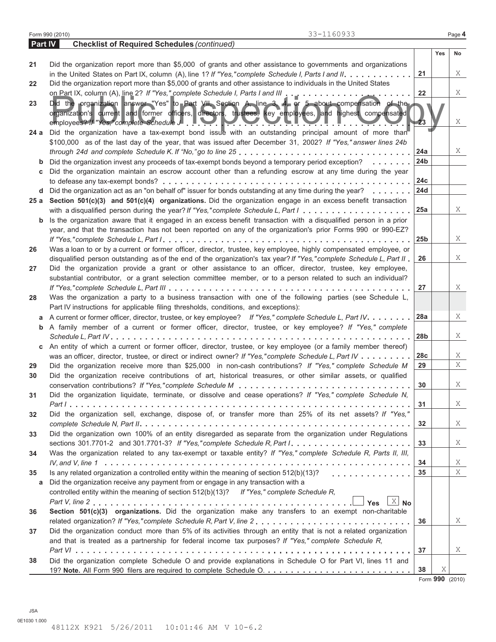|                | 33-1160933<br>Form 990 (2010)                                                                                                                                                                                                                                                                           |                 |     | Page 4 |
|----------------|---------------------------------------------------------------------------------------------------------------------------------------------------------------------------------------------------------------------------------------------------------------------------------------------------------|-----------------|-----|--------|
| <b>Part IV</b> | <b>Checklist of Required Schedules (continued)</b>                                                                                                                                                                                                                                                      |                 |     |        |
|                |                                                                                                                                                                                                                                                                                                         |                 | Yes | No     |
| 21             | Did the organization report more than \$5,000 of grants and other assistance to governments and organizations                                                                                                                                                                                           |                 |     |        |
|                |                                                                                                                                                                                                                                                                                                         | 21              |     | X      |
| 22             | Did the organization report more than \$5,000 of grants and other assistance to individuals in the United States                                                                                                                                                                                        |                 |     |        |
|                |                                                                                                                                                                                                                                                                                                         | 22              |     | Χ      |
| 23             | Did the organization answer "Yes" to Part VII, Section A, line 3, 4, or 5 about compensation of the<br>organization's current and former officers, directors, trustees, key employees, and highest compensated<br>employees? If "Yes," complete Schedule J. P. Y. M. Y. Y. Y. L. Y. I. J<br>and a state | 23              |     | X      |
| 24 a           | Did the organization have a tax-exempt bond issue with an outstanding principal amount of more than<br>\$100,000 as of the last day of the year, that was issued after December 31, 2002? If "Yes," answer lines 24b                                                                                    |                 |     |        |
|                |                                                                                                                                                                                                                                                                                                         | 24a             |     | X      |
| b              | Did the organization invest any proceeds of tax-exempt bonds beyond a temporary period exception?                                                                                                                                                                                                       | 24 <sub>b</sub> |     |        |
| C              | Did the organization maintain an escrow account other than a refunding escrow at any time during the year                                                                                                                                                                                               |                 |     |        |
|                |                                                                                                                                                                                                                                                                                                         | 24c             |     |        |
|                | <b>d</b> Did the organization act as an "on behalf of" issuer for bonds outstanding at any time during the year? $\ldots$ ,                                                                                                                                                                             | 24d             |     |        |
|                | 25 a Section 501(c)(3) and 501(c)(4) organizations. Did the organization engage in an excess benefit transaction                                                                                                                                                                                        | 25a             |     | X      |
| $\mathbf b$    | Is the organization aware that it engaged in an excess benefit transaction with a disqualified person in a prior                                                                                                                                                                                        |                 |     |        |
|                | year, and that the transaction has not been reported on any of the organization's prior Forms 990 or 990-EZ?                                                                                                                                                                                            |                 |     |        |
|                |                                                                                                                                                                                                                                                                                                         | 25 <sub>b</sub> |     | X      |
| 26             | Was a loan to or by a current or former officer, director, trustee, key employee, highly compensated employee, or                                                                                                                                                                                       |                 |     |        |
|                | disqualified person outstanding as of the end of the organization's tax year? If "Yes," complete Schedule L, Part II                                                                                                                                                                                    | 26              |     | Χ      |
| 27             | Did the organization provide a grant or other assistance to an officer, director, trustee, key employee,                                                                                                                                                                                                |                 |     |        |
|                | substantial contributor, or a grant selection committee member, or to a person related to such an individual?                                                                                                                                                                                           |                 |     |        |
|                |                                                                                                                                                                                                                                                                                                         | 27              |     | Χ      |
| 28             | Was the organization a party to a business transaction with one of the following parties (see Schedule L,                                                                                                                                                                                               |                 |     |        |
|                | Part IV instructions for applicable filing thresholds, conditions, and exceptions):                                                                                                                                                                                                                     | 28a             |     | X      |
| а              | A current or former officer, director, trustee, or key employee? If "Yes," complete Schedule L, Part IV.<br><b>b</b> A family member of a current or former officer, director, trustee, or key employee? If "Yes," complete                                                                             |                 |     |        |
|                |                                                                                                                                                                                                                                                                                                         | 28b             |     | Χ      |
|                | c An entity of which a current or former officer, director, trustee, or key employee (or a family member thereof)                                                                                                                                                                                       |                 |     |        |
|                | was an officer, director, trustee, or direct or indirect owner? If "Yes," complete Schedule L, Part IV                                                                                                                                                                                                  | 28c             |     | X      |
| 29             | Did the organization receive more than \$25,000 in non-cash contributions? If "Yes," complete Schedule M                                                                                                                                                                                                | 29              |     | Χ      |
| 30             | Did the organization receive contributions of art, historical treasures, or other similar assets, or qualified                                                                                                                                                                                          |                 |     |        |
|                |                                                                                                                                                                                                                                                                                                         | 30              |     | Χ      |
| 31             | Did the organization liquidate, terminate, or dissolve and cease operations? If "Yes," complete Schedule N,                                                                                                                                                                                             |                 |     |        |
|                |                                                                                                                                                                                                                                                                                                         | 31              |     | X      |
| 32             | Did the organization sell, exchange, dispose of, or transfer more than 25% of its net assets? If "Yes,"                                                                                                                                                                                                 |                 |     |        |
|                |                                                                                                                                                                                                                                                                                                         | 32              |     | X      |
| 33             | Did the organization own 100% of an entity disregarded as separate from the organization under Regulations                                                                                                                                                                                              |                 |     |        |
|                | sections 301.7701-2 and 301.7701-3? If "Yes," complete Schedule R, Part $1, \ldots, \ldots, \ldots, \ldots, \ldots, \ldots$                                                                                                                                                                             | 33              |     | X      |
| 34             | Was the organization related to any tax-exempt or taxable entity? If "Yes," complete Schedule R, Parts II, III,                                                                                                                                                                                         |                 |     |        |
|                |                                                                                                                                                                                                                                                                                                         | 34              |     | X      |
| 35             | Is any related organization a controlled entity within the meaning of section $512(b)(13)?$                                                                                                                                                                                                             | 35              |     | Χ      |
| a              | Did the organization receive any payment from or engage in any transaction with a<br>controlled entity within the meaning of section 512(b)(13)? If "Yes," complete Schedule R,                                                                                                                         |                 |     |        |
|                | Yes $X$ No                                                                                                                                                                                                                                                                                              |                 |     |        |
| 36             | Section 501(c)(3) organizations. Did the organization make any transfers to an exempt non-charitable                                                                                                                                                                                                    |                 |     |        |
|                | related organization? If "Yes,"complete Schedule R, Part V, line 2                                                                                                                                                                                                                                      | 36              |     | X      |
| 37             | Did the organization conduct more than 5% of its activities through an entity that is not a related organization                                                                                                                                                                                        |                 |     |        |
|                | and that is treated as a partnership for federal income tax purposes? If "Yes," complete Schedule R,                                                                                                                                                                                                    |                 |     |        |
|                |                                                                                                                                                                                                                                                                                                         | 37              |     | X      |
| 38             | Did the organization complete Schedule O and provide explanations in Schedule O for Part VI, lines 11 and                                                                                                                                                                                               |                 |     |        |
|                |                                                                                                                                                                                                                                                                                                         | 38              | Χ   |        |
|                |                                                                                                                                                                                                                                                                                                         |                 |     |        |

Form **990** (2010)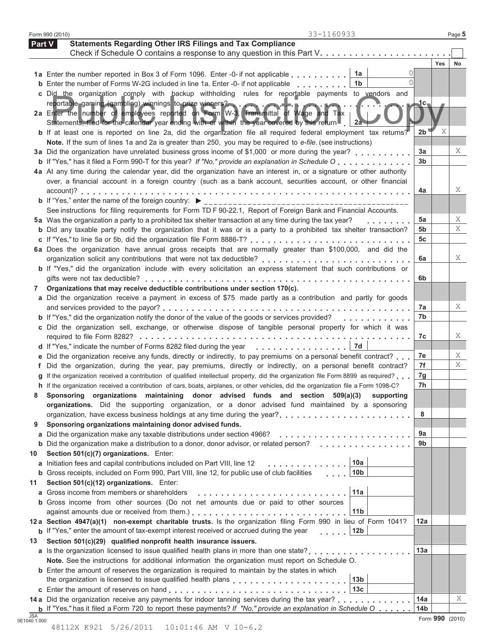| Form 990 (2010) | 33-1160933                                                                                                                                                                                                                                           |                        |     | Page 5 |
|-----------------|------------------------------------------------------------------------------------------------------------------------------------------------------------------------------------------------------------------------------------------------------|------------------------|-----|--------|
| Part V          | <b>Statements Regarding Other IRS Filings and Tax Compliance</b>                                                                                                                                                                                     |                        |     |        |
|                 | Check if Schedule O contains a response to any question in this Part V.                                                                                                                                                                              |                        |     |        |
|                 |                                                                                                                                                                                                                                                      |                        | Yes | No     |
|                 | 1a<br>1a Enter the number reported in Box 3 of Form 1096. Enter -0- if not applicable<br>$\cap$                                                                                                                                                      |                        |     |        |
|                 | 1 <sub>b</sub><br><b>b</b> Enter the number of Forms W-2G included in line 1a. Enter -0- if not applicable                                                                                                                                           |                        |     |        |
|                 | c Did the organization comply with backup withholding rules for reportable payments to vendors and                                                                                                                                                   |                        |     |        |
|                 | reportable gaming (gambling) winnings to prize winners?                                                                                                                                                                                              | $\mathbf{1c}_{\tau}$   |     |        |
|                 | 2a Enter the number of employees reported on Form W-3 Transmittal of Wage and Tax                                                                                                                                                                    |                        |     |        |
|                 | Statements, filed for the calendar year ending with or within the year covered by this return<br>- 2a<br><b>b</b> If at least one is reported on line 2a, did the organization file all required federal employment tax returns?                     | 2b                     | Χ   |        |
|                 | Note. If the sum of lines 1a and 2a is greater than 250, you may be required to e-file. (see instructions)                                                                                                                                           |                        |     |        |
|                 | 3a Did the organization have unrelated business gross income of \$1,000 or more during the year?                                                                                                                                                     | 3a                     |     | X      |
|                 | <b>b</b> If "Yes," has it filed a Form 990-T for this year? If "No," provide an explanation in Schedule O                                                                                                                                            | 3 <sub>b</sub>         |     |        |
|                 | 4a At any time during the calendar year, did the organization have an interest in, or a signature or other authority                                                                                                                                 |                        |     |        |
|                 | over, a financial account in a foreign country (such as a bank account, securities account, or other financial                                                                                                                                       |                        |     |        |
|                 |                                                                                                                                                                                                                                                      | 4a                     |     | X      |
|                 |                                                                                                                                                                                                                                                      |                        |     |        |
|                 | See instructions for filing requirements for Form TD F 90-22.1, Report of Foreign Bank and Financial Accounts.                                                                                                                                       |                        |     |        |
|                 | 5a Was the organization a party to a prohibited tax shelter transaction at any time during the tax year?<br>.                                                                                                                                        | 5a                     |     | X      |
|                 | b Did any taxable party notify the organization that it was or is a party to a prohibited tax shelter transaction?                                                                                                                                   | 5b                     |     | Χ      |
|                 |                                                                                                                                                                                                                                                      | 5c                     |     |        |
|                 | 6a Does the organization have annual gross receipts that are normally greater than \$100,000, and did the                                                                                                                                            |                        |     |        |
|                 |                                                                                                                                                                                                                                                      | 6a                     |     | X      |
|                 | <b>b</b> If "Yes," did the organization include with every solicitation an express statement that such contributions or                                                                                                                              |                        |     |        |
|                 |                                                                                                                                                                                                                                                      | 6b                     |     |        |
| 7               | Organizations that may receive deductible contributions under section 170(c).                                                                                                                                                                        |                        |     |        |
|                 | a Did the organization receive a payment in excess of \$75 made partly as a contribution and partly for goods                                                                                                                                        |                        |     |        |
|                 |                                                                                                                                                                                                                                                      | 7a                     |     | X      |
|                 | b If "Yes," did the organization notify the donor of the value of the goods or services provided?<br>.                                                                                                                                               | 7b                     |     |        |
|                 | c Did the organization sell, exchange, or otherwise dispose of tangible personal property for which it was                                                                                                                                           |                        |     |        |
|                 |                                                                                                                                                                                                                                                      | 7c                     |     | X      |
|                 | 7d<br>d If "Yes," indicate the number of Forms 8282 filed during the year                                                                                                                                                                            |                        |     | X      |
|                 | e Did the organization receive any funds, directly or indirectly, to pay premiums on a personal benefit contract?                                                                                                                                    | 7e<br>7f               |     | Χ      |
|                 | f Did the organization, during the year, pay premiums, directly or indirectly, on a personal benefit contract?<br>g If the organization received a contribution of qualified intellectual property, did the organization file Form 8899 as required? | 7g                     |     |        |
|                 | h If the organization received a contribution of cars, boats, airplanes, or other vehicles, did the organization file a Form 1098-C?                                                                                                                 | 7h                     |     |        |
|                 | Sponsoring organizations maintaining donor advised funds and section 509(a)(3) supporting                                                                                                                                                            |                        |     |        |
|                 | organizations. Did the supporting organization, or a donor advised fund maintained by a sponsoring                                                                                                                                                   |                        |     |        |
|                 |                                                                                                                                                                                                                                                      | 8                      |     |        |
| 9               | Sponsoring organizations maintaining donor advised funds.                                                                                                                                                                                            |                        |     |        |
|                 | a Did the organization make any taxable distributions under section 4966?                                                                                                                                                                            | 9a                     |     |        |
|                 | <b>b</b> Did the organization make a distribution to a donor, donor advisor, or related person?                                                                                                                                                      | 9b                     |     |        |
| 10              | Section 501(c)(7) organizations. Enter:                                                                                                                                                                                                              |                        |     |        |
|                 | 10a<br>a Initiation fees and capital contributions included on Part VIII, line 12<br>.                                                                                                                                                               |                        |     |        |
|                 | 10 <sub>b</sub><br><b>b</b> Gross receipts, included on Form 990, Part VIII, line 12, for public use of club facilities                                                                                                                              |                        |     |        |
| 11              | Section 501(c)(12) organizations. Enter:                                                                                                                                                                                                             |                        |     |        |
|                 | 11a<br>a Gross income from members or shareholders                                                                                                                                                                                                   |                        |     |        |
|                 | <b>b</b> Gross income from other sources (Do not net amounts due or paid to other sources                                                                                                                                                            |                        |     |        |
|                 | 11 <sub>b</sub>                                                                                                                                                                                                                                      |                        |     |        |
|                 | 12 a Section 4947(a)(1) non-exempt charitable trusts. Is the organization filing Form 990 in lieu of Form 1041?                                                                                                                                      | 12a                    |     |        |
|                 |                                                                                                                                                                                                                                                      |                        |     |        |
|                 | <b>b</b> If "Yes," enter the amount of tax-exempt interest received or accrued during the year<br>12b                                                                                                                                                |                        |     |        |
|                 | Section 501(c)(29) qualified nonprofit health insurance issuers.                                                                                                                                                                                     |                        |     |        |
|                 | a Is the organization licensed to issue qualified health plans in more than one state?                                                                                                                                                               | 13a                    |     |        |
|                 | Note. See the instructions for additional information the organization must report on Schedule O.                                                                                                                                                    |                        |     |        |
|                 | <b>b</b> Enter the amount of reserves the organization is required to maintain by the states in which                                                                                                                                                |                        |     |        |
|                 | 13 <sub>b</sub>                                                                                                                                                                                                                                      |                        |     |        |
|                 | 13 <sub>c</sub>                                                                                                                                                                                                                                      |                        |     |        |
| 13              | 14 a Did the organization receive any payments for indoor tanning services during the tax year?<br><b>b</b> If "Yes," has it filed a Form 720 to report these payments? If "No," provide an explanation in Schedule O $\ldots$                       | 14a<br>14 <sub>b</sub> |     | X      |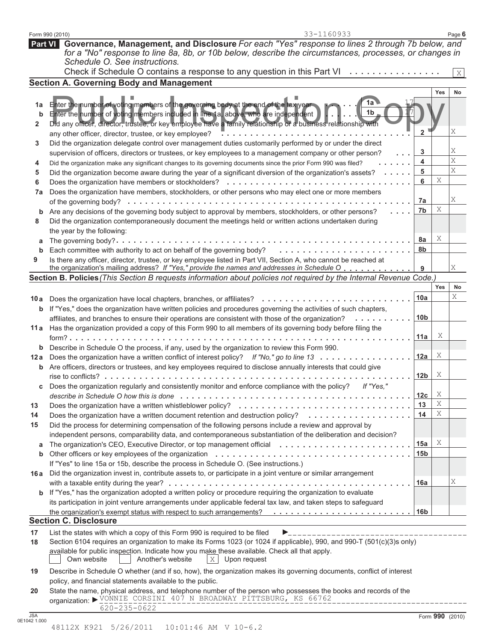| 3                          | Did the organization delegate control over management duties customarily performed by or under the direct                                                                                                               |                 |     |                 |
|----------------------------|-------------------------------------------------------------------------------------------------------------------------------------------------------------------------------------------------------------------------|-----------------|-----|-----------------|
|                            | supervision of officers, directors or trustees, or key employees to a management company or other person?<br>$\sim 100$ km $^{-1}$                                                                                      | 3               |     | Χ               |
| 4                          | Did the organization make any significant changes to its governing documents since the prior Form 990 was filed?                                                                                                        | 4               |     | Χ               |
| 5                          | Did the organization become aware during the year of a significant diversion of the organization's assets?                                                                                                              | 5               |     | $\rm X$         |
| 6                          |                                                                                                                                                                                                                         | 6               | Χ   |                 |
| 7a                         | Does the organization have members, stockholders, or other persons who may elect one or more members                                                                                                                    |                 |     |                 |
|                            |                                                                                                                                                                                                                         | 7a              |     | Χ               |
| $\mathbf b$                | Are any decisions of the governing body subject to approval by members, stockholders, or other persons?                                                                                                                 | 7b              | Χ   |                 |
| 8                          | Did the organization contemporaneously document the meetings held or written actions undertaken during                                                                                                                  |                 |     |                 |
|                            | the year by the following:                                                                                                                                                                                              |                 |     |                 |
| a                          |                                                                                                                                                                                                                         | 8a              | Χ   |                 |
| b                          | Each committee with authority to act on behalf of the governing body?                                                                                                                                                   | 8b              |     |                 |
| 9                          | Is there any officer, director, trustee, or key employee listed in Part VII, Section A, who cannot be reached at                                                                                                        |                 |     |                 |
|                            | the organization's mailing address? If "Yes," provide the names and addresses in Schedule O                                                                                                                             | 9               |     | Χ               |
|                            | Section B. Policies (This Section B requests information about policies not required by the Internal Revenue Code.)                                                                                                     |                 |     |                 |
|                            |                                                                                                                                                                                                                         |                 | Yes | No              |
|                            |                                                                                                                                                                                                                         | 10a             |     | Χ               |
|                            | <b>b</b> If "Yes," does the organization have written policies and procedures governing the activities of such chapters,                                                                                                |                 |     |                 |
|                            | affiliates, and branches to ensure their operations are consistent with those of the organization?                                                                                                                      | 10 <sub>b</sub> |     |                 |
|                            | 11a Has the organization provided a copy of this Form 990 to all members of its governing body before filing the                                                                                                        |                 |     |                 |
|                            |                                                                                                                                                                                                                         | 11a             | Χ   |                 |
| $\mathbf b$                | Describe in Schedule O the process, if any, used by the organization to review this Form 990.                                                                                                                           |                 |     |                 |
| 12 a                       | Does the organization have a written conflict of interest policy? If "No," go to line 13                                                                                                                                | 12a             | Χ   |                 |
| b                          | Are officers, directors or trustees, and key employees required to disclose annually interests that could give                                                                                                          |                 |     |                 |
|                            |                                                                                                                                                                                                                         | 12 <sub>b</sub> | X   |                 |
| С                          | Does the organization regularly and consistently monitor and enforce compliance with the policy? If "Yes,"                                                                                                              |                 |     |                 |
|                            |                                                                                                                                                                                                                         | 12c             | Χ   |                 |
| 13                         |                                                                                                                                                                                                                         | 13              | Χ   |                 |
| 14                         | Does the organization have a written document retention and destruction policy?                                                                                                                                         | 14              | Χ   |                 |
|                            |                                                                                                                                                                                                                         |                 |     |                 |
| 15                         | Did the process for determining compensation of the following persons include a review and approval by<br>independent persons, comparability data, and contemporaneous substantiation of the deliberation and decision? |                 |     |                 |
| a                          | The organization's CEO, Executive Director, or top management official                                                                                                                                                  | 15a             | Χ   |                 |
| b                          | If "Yes" to line 15a or 15b, describe the process in Schedule O. (See instructions.)                                                                                                                                    | 15 <sub>b</sub> |     |                 |
| 16 a                       | Did the organization invest in, contribute assets to, or participate in a joint venture or similar arrangement                                                                                                          |                 |     |                 |
|                            |                                                                                                                                                                                                                         | <b>16a</b>      |     | Χ               |
| b                          | If "Yes," has the organization adopted a written policy or procedure requiring the organization to evaluate                                                                                                             |                 |     |                 |
|                            | its participation in joint venture arrangements under applicable federal tax law, and taken steps to safeguard                                                                                                          |                 |     |                 |
|                            | the organization's exempt status with respect to such arrangements?                                                                                                                                                     | 16 <sub>b</sub> |     |                 |
|                            | <b>Section C. Disclosure</b>                                                                                                                                                                                            |                 |     |                 |
| 17                         | List the states with which a copy of this Form 990 is required to be filed                                                                                                                                              |                 |     |                 |
| 18                         | Section 6104 requires an organization to make its Forms 1023 (or 1024 if applicable), 990, and 990-T (501(c)(3)s only)                                                                                                  |                 |     |                 |
|                            | available for public inspection. Indicate how you make these available. Check all that apply.                                                                                                                           |                 |     |                 |
|                            | Another's website<br>Own website<br>$X$ Upon request                                                                                                                                                                    |                 |     |                 |
| 19                         | Describe in Schedule O whether (and if so, how), the organization makes its governing documents, conflict of interest                                                                                                   |                 |     |                 |
|                            | policy, and financial statements available to the public.                                                                                                                                                               |                 |     |                 |
| 20                         | State the name, physical address, and telephone number of the person who possesses the books and records of the                                                                                                         |                 |     |                 |
|                            | organization: VONNIE CORSINI 407 N BROADWAY PITTSBURG, KS 66762                                                                                                                                                         |                 |     |                 |
|                            | $620 - 235 - 0622$                                                                                                                                                                                                      |                 |     |                 |
| <b>JSA</b><br>0E1042 1.000 |                                                                                                                                                                                                                         |                 |     | Form 990 (2010) |
|                            | 48112X K921 5/26/2011 10:01:46 AM V 10-6.2                                                                                                                                                                              |                 |     |                 |
|                            |                                                                                                                                                                                                                         |                 |     |                 |
|                            |                                                                                                                                                                                                                         |                 |     |                 |
|                            |                                                                                                                                                                                                                         |                 |     |                 |
|                            |                                                                                                                                                                                                                         |                 |     |                 |
|                            |                                                                                                                                                                                                                         |                 |     |                 |
|                            |                                                                                                                                                                                                                         |                 |     |                 |

| Form 990 (2010) |                                                                                                                | 33-1160933 | Page 6 |
|-----------------|----------------------------------------------------------------------------------------------------------------|------------|--------|
|                 | <b>Part VI</b> Governance, Management, and Disclosure For each "Yes" response to lines 2 through 7b below, and |            |        |
|                 | for a "No" response to line 8a, 8b, or 10b below, describe the circumstances, processes, or changes in         |            |        |
|                 | Schedule O. See instructions.                                                                                  |            |        |

Enter the number of voting members of the governing body at the end of the tax year<br>Enter the number of voting members included in line 1a, above, who are independent<br>Did any officer, director, trustee, or key employee hav

Check if Schedule O contains a response to any question in this Part VI . . . . . . . . . . . . . . . . .

Did any officer, director, trustee, or key employee have a family relationship or a business relationship with

**1a** Enter the number of voting members of the governing body at the end of the tax year

Enter the number of voting members of the governing body at the end of the tax year Enter the number of voting members included in line 1a, above, who are independent

#### **Section A. Governing Body and Management**

any other officer, director, trustee, or key employee?

**2**

**b**

X

**Yes No**

X

**2**

17 17

**1a 1b**

n

a family relationship or a business relationship with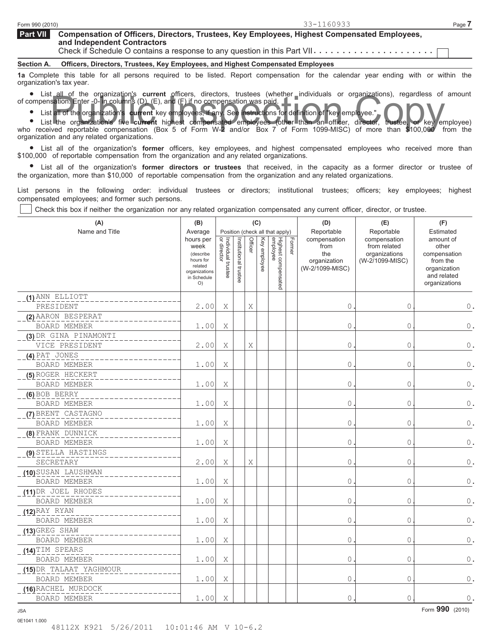**Compensation of Officers, Directors, Trustees, Key Employees, Highest Compensated Employees, and Independent Contractors Part VII**  Check if Schedule O contains a response to any question in this Part VII

**Section A. Officers, Directors, Trustees, Key Employees, and Highest Compensated Employees**

**1a** Complete this table for all persons required to be listed. Report compensation for the calendar year ending with or within the organization's tax year.

anization's tax year.<br>● List all of the organization's **current** officers, directors, trustees (whether individuals or organizations), regardless of amount of compensation. Enter -0- in columns (D), (E), and (F) if no compensation was paid. sation. Enter -0- in columns (D), (E), and (F) if no compensation was paid.<br>
Lead of the organization's current key employees, if any See instructions for definition of "key employee."<br>
The organization's five current high

- 01<br>●
- List all of the organization's **current** key employees, if any. See instructions for definition of "key employee." List the organization's five **current** highest compensated employees (other than an officer, director, trustee, or key employee)

who received reportable compensation (Box 5 of Form W-2 and/or Box 7 of Form 1099-MISC) of more than \$100,000 from the

organization and any related organizations.<br>• List all of the organization's form List all of the organization's **former** officers, key employees, and highest compensated employees who received more than \$100,000 of reportable compensation from the organization and any related organizations.

0,000 of reportable compensation from the organization and any related organizations.<br>● List all of the organization's **former directors or trustees** that received, in the capacity as a former director or trustee of the organization, more than \$10,000 of reportable compensation from the organization and any related organizations.

List persons in the following order: individual trustees or directors; institutional trustees; officers; key employees; highest compensated employees; and former such persons.

Check this box if neither the organization nor any related organization compensated any current officer, director, or trustee.

| (A)                                 | (B)                                                                                                     |                                   |                       |         | (C)          |                                                                    |        | (D)                                                                          | (E)                                                                            | (F)                                                                                                         |
|-------------------------------------|---------------------------------------------------------------------------------------------------------|-----------------------------------|-----------------------|---------|--------------|--------------------------------------------------------------------|--------|------------------------------------------------------------------------------|--------------------------------------------------------------------------------|-------------------------------------------------------------------------------------------------------------|
| Name and Title                      | Average<br>hours per<br>week<br>(describe<br>hours for<br>related<br>organizations<br>in Schedule<br>O) | Individual trustee<br>or director | Institutional trustee | Officer | Key employee | Position (check all that apply)<br>Highest compensated<br>employee | Former | Reportable<br>compensation<br>from<br>the<br>organization<br>(W-2/1099-MISC) | Reportable<br>compensation<br>from related<br>organizations<br>(W-2/1099-MISC) | Estimated<br>amount of<br>other<br>compensation<br>from the<br>organization<br>and related<br>organizations |
| (1) ANN ELLIOTT                     |                                                                                                         |                                   |                       |         |              |                                                                    |        |                                                                              |                                                                                |                                                                                                             |
| PRESIDENT                           | 2.00                                                                                                    | X                                 |                       | X       |              |                                                                    |        | $\mathbb O$                                                                  | $\mathbf{0}$                                                                   | $0$ .                                                                                                       |
| (2) AARON BESPERAT                  |                                                                                                         |                                   |                       |         |              |                                                                    |        |                                                                              |                                                                                |                                                                                                             |
| <b>BOARD MEMBER</b>                 | 1.00                                                                                                    | Χ                                 |                       |         |              |                                                                    |        | $\mathsf{O}\xspace$                                                          | $\mathsf{O}$                                                                   | $\mathbf 0$ .                                                                                               |
| (3) DR GINA PINAMONTI               |                                                                                                         |                                   |                       |         |              |                                                                    |        |                                                                              |                                                                                |                                                                                                             |
| VICE PRESIDENT                      | 2.00                                                                                                    | X                                 |                       | X       |              |                                                                    |        | $\mathbb O$                                                                  | $\overline{0}$                                                                 | $\mathbf 0$ .                                                                                               |
| (4) PAT JONES                       |                                                                                                         |                                   |                       |         |              |                                                                    |        |                                                                              |                                                                                |                                                                                                             |
| BOARD MEMBER                        | 1.00                                                                                                    | Χ                                 |                       |         |              |                                                                    |        | 0                                                                            | $\mathsf{O}\xspace$                                                            | $\mathbf 0$ .                                                                                               |
| (5) ROGER HECKERT                   |                                                                                                         |                                   |                       |         |              |                                                                    |        |                                                                              |                                                                                |                                                                                                             |
| BOARD MEMBER                        | 1.00                                                                                                    | Χ                                 |                       |         |              |                                                                    |        | $\mathbb O$                                                                  | $\overline{0}$                                                                 | $\mathbb O$ .                                                                                               |
| (6) BOB BERRY                       |                                                                                                         |                                   |                       |         |              |                                                                    |        |                                                                              |                                                                                |                                                                                                             |
| <b>BOARD MEMBER</b>                 | 1.00                                                                                                    | Χ                                 |                       |         |              |                                                                    |        | $\mathbb O$                                                                  | $\mathsf{O}\xspace$                                                            | $\mathsf{O}$ .                                                                                              |
| (7) BRENT CASTAGNO                  |                                                                                                         |                                   |                       |         |              |                                                                    |        |                                                                              |                                                                                |                                                                                                             |
| BOARD MEMBER                        | 1.00                                                                                                    | X                                 |                       |         |              |                                                                    |        | $\overline{0}$                                                               | $\overline{0}$                                                                 | $\mathbb O$ .                                                                                               |
| (8) FRANK DUNNICK                   |                                                                                                         |                                   |                       |         |              |                                                                    |        |                                                                              |                                                                                |                                                                                                             |
| <b>BOARD MEMBER</b>                 | 1.00                                                                                                    | X                                 |                       |         |              |                                                                    |        | 0                                                                            | $\mathsf{O}\xspace$                                                            | $\mathbb O$ .                                                                                               |
| (9) STELLA HASTINGS                 |                                                                                                         |                                   |                       |         |              |                                                                    |        |                                                                              |                                                                                |                                                                                                             |
| SECRETARY                           | 2.00                                                                                                    | X                                 |                       | Χ       |              |                                                                    |        | 0                                                                            | $\mathsf{O}$                                                                   | $\mathbb O$ .                                                                                               |
| (10) SUSAN LAUSHMAN<br>BOARD MEMBER | 1.00                                                                                                    | Χ                                 |                       |         |              |                                                                    |        | 0                                                                            | 0                                                                              | $\mathbb O$ .                                                                                               |
| (11) DR JOEL RHODES                 |                                                                                                         |                                   |                       |         |              |                                                                    |        |                                                                              |                                                                                |                                                                                                             |
| BOARD MEMBER                        | 1.00                                                                                                    | Χ                                 |                       |         |              |                                                                    |        | $\mathsf{O}$                                                                 | 0                                                                              | $\mathbf 0$ .                                                                                               |
| $(12)$ RAY RYAN                     |                                                                                                         |                                   |                       |         |              |                                                                    |        |                                                                              |                                                                                |                                                                                                             |
| <b>BOARD MEMBER</b>                 | 1.00                                                                                                    | X                                 |                       |         |              |                                                                    |        | $\mathbb O$                                                                  | $\mathbf{0}$                                                                   | $\mathbf 0$ .                                                                                               |
| (13) GREG SHAW                      |                                                                                                         |                                   |                       |         |              |                                                                    |        |                                                                              |                                                                                |                                                                                                             |
| <b>BOARD MEMBER</b>                 | 1.00                                                                                                    | Χ                                 |                       |         |              |                                                                    |        | 0                                                                            | $\mathsf{O}\xspace$                                                            | $\mathbf 0$ .                                                                                               |
| (14) TIM SPEARS                     |                                                                                                         |                                   |                       |         |              |                                                                    |        |                                                                              |                                                                                |                                                                                                             |
| BOARD MEMBER                        | 1.00                                                                                                    | Χ                                 |                       |         |              |                                                                    |        | $\mathbb O$                                                                  | $\circ$                                                                        | $\mathbb O$ .                                                                                               |
| (15) DR TALAAT YAGHMOUR             |                                                                                                         |                                   |                       |         |              |                                                                    |        |                                                                              |                                                                                |                                                                                                             |
| BOARD MEMBER                        | 1.00                                                                                                    | Χ                                 |                       |         |              |                                                                    |        | 0                                                                            | 0                                                                              | $\mathbb O$ .                                                                                               |
| (16) RACHEL MURDOCK                 |                                                                                                         |                                   |                       |         |              |                                                                    |        |                                                                              |                                                                                |                                                                                                             |
| <b>BOARD MEMBER</b>                 | 1.00                                                                                                    | X                                 |                       |         |              |                                                                    |        | $\mathsf{O}$                                                                 | $\overline{0}$                                                                 | $\mathbb O$ .                                                                                               |

0E1041 1.000

Form **990** (2010) JSA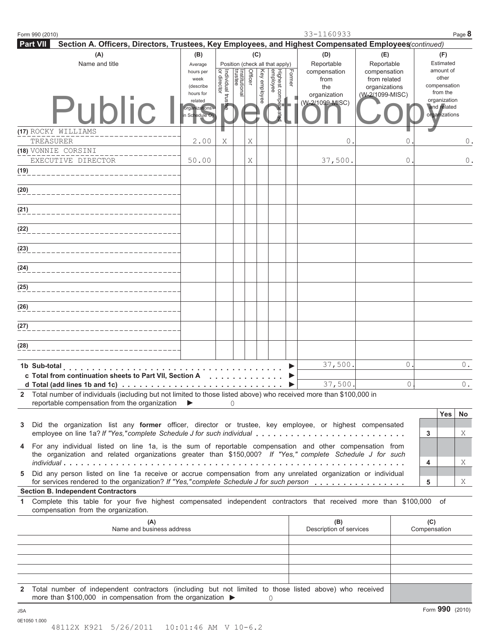|              | Form 990 (2010)                                                                                                                                                                                                                                        |                                                                                           |                                |                          |         |                     |                                                              |        | 33-1160933                                                                          |                                                                                       |                    |                                                                                                   | Page 8        |
|--------------|--------------------------------------------------------------------------------------------------------------------------------------------------------------------------------------------------------------------------------------------------------|-------------------------------------------------------------------------------------------|--------------------------------|--------------------------|---------|---------------------|--------------------------------------------------------------|--------|-------------------------------------------------------------------------------------|---------------------------------------------------------------------------------------|--------------------|---------------------------------------------------------------------------------------------------|---------------|
|              | <b>Part VII</b><br>Section A. Officers, Directors, Trustees, Key Employees, and Highest Compensated Employees(continued)                                                                                                                               |                                                                                           |                                |                          |         |                     |                                                              |        |                                                                                     |                                                                                       |                    |                                                                                                   |               |
|              | (A)<br>Name and title                                                                                                                                                                                                                                  | (B)<br>Average<br>hours per<br>week<br>(describe<br>hours for<br>related<br>organizations | or director<br>Individual trus | Institutional<br>trustee | Officer | (C)<br>Key employee | Position (check all that apply)<br>employee<br>Highest compe | Former | (D)<br>Reportable<br>compensation<br>from<br>the<br>organization<br>(W-2/1099-MISC) | (E)<br>Reportable<br>compensation<br>from related<br>organizations<br>(W-2/1099-MISC) |                    | (F)<br>Estimated<br>amount of<br>other<br>compensation<br>from the<br>organization<br>and related |               |
|              | Public                                                                                                                                                                                                                                                 | n Schedule O)                                                                             |                                |                          |         |                     | neated                                                       |        |                                                                                     |                                                                                       |                    | organizations                                                                                     |               |
|              | (17) ROCKY WILLIAMS<br>TREASURER                                                                                                                                                                                                                       | 2.00                                                                                      | Χ                              |                          | Χ       |                     |                                                              |        | 0                                                                                   |                                                                                       | 0                  |                                                                                                   | 0.            |
|              | (18) VONNIE CORSINI<br>EXECUTIVE DIRECTOR                                                                                                                                                                                                              | 50.00                                                                                     |                                |                          | Χ       |                     |                                                              |        | 37,500.                                                                             |                                                                                       | 0                  |                                                                                                   | $\mathbf 0$ . |
| (19)         |                                                                                                                                                                                                                                                        |                                                                                           |                                |                          |         |                     |                                                              |        |                                                                                     |                                                                                       |                    |                                                                                                   |               |
| (20)         |                                                                                                                                                                                                                                                        |                                                                                           |                                |                          |         |                     |                                                              |        |                                                                                     |                                                                                       |                    |                                                                                                   |               |
| (21)         |                                                                                                                                                                                                                                                        |                                                                                           |                                |                          |         |                     |                                                              |        |                                                                                     |                                                                                       |                    |                                                                                                   |               |
| (22)         |                                                                                                                                                                                                                                                        |                                                                                           |                                |                          |         |                     |                                                              |        |                                                                                     |                                                                                       |                    |                                                                                                   |               |
| (23)         |                                                                                                                                                                                                                                                        |                                                                                           |                                |                          |         |                     |                                                              |        |                                                                                     |                                                                                       |                    |                                                                                                   |               |
| (24)         |                                                                                                                                                                                                                                                        |                                                                                           |                                |                          |         |                     |                                                              |        |                                                                                     |                                                                                       |                    |                                                                                                   |               |
| (25)         |                                                                                                                                                                                                                                                        |                                                                                           |                                |                          |         |                     |                                                              |        |                                                                                     |                                                                                       |                    |                                                                                                   |               |
| (26)         |                                                                                                                                                                                                                                                        |                                                                                           |                                |                          |         |                     |                                                              |        |                                                                                     |                                                                                       |                    |                                                                                                   |               |
| (27)         |                                                                                                                                                                                                                                                        |                                                                                           |                                |                          |         |                     |                                                              |        |                                                                                     |                                                                                       |                    |                                                                                                   |               |
| (28)         |                                                                                                                                                                                                                                                        |                                                                                           |                                |                          |         |                     |                                                              |        |                                                                                     |                                                                                       |                    |                                                                                                   |               |
|              | 1b Sub-total<br>c Total from continuation sheets to Part VII, Section A<br>d Total (add lines 1b and 1c) $\ldots$ ,                                                                                                                                    |                                                                                           |                                |                          |         |                     |                                                              |        | 37,500<br>37,500                                                                    |                                                                                       | $\mathbf 0$ .<br>0 |                                                                                                   | $0$ .<br>0.   |
| $\mathbf{2}$ | Total number of individuals (including but not limited to those listed above) who received more than \$100,000 in<br>reportable compensation from the organization                                                                                     |                                                                                           |                                | $\Omega$                 |         |                     |                                                              |        |                                                                                     |                                                                                       |                    |                                                                                                   |               |
| 3            | Did the organization list any former officer, director or trustee, key employee, or highest compensated<br>employee on line 1a? If "Yes," complete Schedule J for such individual                                                                      |                                                                                           |                                |                          |         |                     |                                                              |        |                                                                                     |                                                                                       |                    | <b>Yes</b><br>3                                                                                   | No<br>Χ       |
| 4            | For any individual listed on line 1a, is the sum of reportable compensation and other compensation from<br>the organization and related organizations greater than \$150,000? If "Yes," complete Schedule J for such                                   |                                                                                           |                                |                          |         |                     |                                                              |        |                                                                                     |                                                                                       |                    | 4                                                                                                 | X             |
| 5            | Did any person listed on line 1a receive or accrue compensation from any unrelated organization or individual<br>for services rendered to the organization? If "Yes," complete Schedule J for such person<br><b>Section B. Independent Contractors</b> |                                                                                           |                                |                          |         |                     |                                                              |        |                                                                                     |                                                                                       |                    | 5                                                                                                 | X             |
| 1.           | Complete this table for your five highest compensated independent contractors that received more than \$100,000 of<br>compensation from the organization.                                                                                              |                                                                                           |                                |                          |         |                     |                                                              |        |                                                                                     |                                                                                       |                    |                                                                                                   |               |
|              | (A)<br>Name and business address                                                                                                                                                                                                                       |                                                                                           |                                |                          |         |                     |                                                              |        | (B)<br>Description of services                                                      |                                                                                       |                    | (C)<br>Compensation                                                                               |               |
|              |                                                                                                                                                                                                                                                        |                                                                                           |                                |                          |         |                     |                                                              |        |                                                                                     |                                                                                       |                    |                                                                                                   |               |
|              |                                                                                                                                                                                                                                                        |                                                                                           |                                |                          |         |                     |                                                              |        |                                                                                     |                                                                                       |                    |                                                                                                   |               |
| 2            | Total number of independent contractors (including but not limited to those listed above) who received<br>more than \$100,000 in compensation from the organization $\blacktriangleright$                                                              |                                                                                           |                                |                          |         |                     | $\Omega$                                                     |        |                                                                                     |                                                                                       |                    |                                                                                                   |               |
| <b>JSA</b>   | 0E1050 1.000                                                                                                                                                                                                                                           |                                                                                           |                                |                          |         |                     |                                                              |        |                                                                                     |                                                                                       |                    | Form 990 (2010)                                                                                   |               |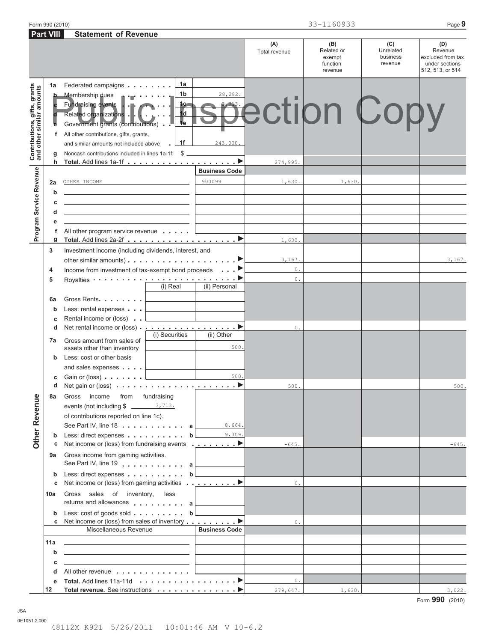|                                                           |                        |                                                                                                                                                                                                                                                                                                                                        |                                             | (A)<br>Total revenue  | (B)<br>Related or<br>exempt<br>function<br>revenue | (C)<br>Unrelated<br>business<br>revenue | (D)<br>Revenue<br>excluded from tax<br>under sections<br>512, 513, or 514 |
|-----------------------------------------------------------|------------------------|----------------------------------------------------------------------------------------------------------------------------------------------------------------------------------------------------------------------------------------------------------------------------------------------------------------------------------------|---------------------------------------------|-----------------------|----------------------------------------------------|-----------------------------------------|---------------------------------------------------------------------------|
| Contributions, gifts, grants<br>and other similar amounts | 1a<br>b<br>f<br>g<br>h | 1a<br>Federated campaigns<br>1b<br>Membership dues<br>Fundraising events<br>1c.<br>1 <sub>d</sub><br>Related organizations .<br>$\overline{4e}$<br>Government grants (contributions) .<br>All other contributions, gifts, grants,<br>1f<br>and similar amounts not included above<br>Noncash contributions included in lines 1a-1f: \$ | 28,282.<br>243,000.<br><u>and</u> the state | 274,995.              | pection Copy                                       |                                         |                                                                           |
| Program Service Revenue                                   | 2a<br>b<br>C           | OTHER INCOME                                                                                                                                                                                                                                                                                                                           | <b>Business Code</b><br>900099              | 1,630.                | 1,630.                                             |                                         |                                                                           |
|                                                           | d<br>е<br>f<br>g       | All other program service revenue                                                                                                                                                                                                                                                                                                      |                                             | 1,630.                |                                                    |                                         |                                                                           |
|                                                           | 3<br>4<br>5            | Investment income (including dividends, interest, and<br>other similar amounts) $\ldots$ , $\ldots$ , $\ldots$ , $\ldots$ , $\blacktriangleright$<br>Income from investment of tax-exempt bond proceeds                                                                                                                                | $\ldots$ $\blacktriangleright$              | 3,167.<br>$0$ .<br>0. |                                                    |                                         | 3,167.                                                                    |
|                                                           | 6a<br>b<br>c           | (i) Real<br>Gross Rents.<br>Less: rental expenses<br>Rental income or (loss).                                                                                                                                                                                                                                                          | (ii) Personal                               |                       |                                                    |                                         |                                                                           |
|                                                           | d<br>7a<br>b           | (i) Securities<br>Gross amount from sales of<br>assets other than inventory<br>Less: cost or other basis                                                                                                                                                                                                                               | (ii) Other<br>500.                          | 0.                    |                                                    |                                         |                                                                           |
|                                                           | C<br>d<br>8a           | and sales expenses<br>Gain or (loss) $\ldots$ $\ldots$ $\ldots$<br>fundraising<br>Gross<br>income<br>from                                                                                                                                                                                                                              | 500.                                        | 500.                  |                                                    |                                         | 500.                                                                      |
| $\mathbf{e}$<br><b>Other Reven</b>                        |                        | of contributions reported on line 1c).<br>See Part IV, line 18 $\ldots$ $\ldots$ $\ldots$ $\ldots$ a                                                                                                                                                                                                                                   | 8,664.                                      |                       |                                                    |                                         |                                                                           |
|                                                           | b<br>с<br>9а           | Less: direct expenses $\ldots$ , $\ldots$ , $\mathbf{b}$ $\qquad \qquad$ 9,309.<br>Net income or (loss) from fundraising events <u></u><br>Gross income from gaming activities.<br>See Part IV, line 19 $\qquad \qquad$ a                                                                                                              |                                             | $-645.$               |                                                    |                                         | $-645.$                                                                   |
|                                                           | b<br>С                 | Less: direct expenses b<br>Net income or (loss) from gaming activities ▶                                                                                                                                                                                                                                                               |                                             | 0.                    |                                                    |                                         |                                                                           |
|                                                           | 10a<br>b               | Gross sales of inventory, less<br>returns and allowances $\ldots \ldots \ldots$ a<br>Less: cost of goods sold $\ldots$ , b                                                                                                                                                                                                             |                                             |                       |                                                    |                                         |                                                                           |
|                                                           | c                      | Net income or (loss) from sales of inventory ▶<br>Miscellaneous Revenue                                                                                                                                                                                                                                                                | <b>Business Code</b>                        | 0.                    |                                                    |                                         |                                                                           |
|                                                           | 11a<br>b<br>C          | the control of the control of the control of the control of the control of<br><u> 1980 - Jan Stein Berlin, mars and de Brazilia (b. 1980)</u>                                                                                                                                                                                          |                                             |                       |                                                    |                                         |                                                                           |
|                                                           | d<br>е<br>12           | All other revenue<br>Total revenue. See instructions ▶                                                                                                                                                                                                                                                                                 |                                             | 0.<br>279,647.        | 1,630.                                             |                                         | 3,022.                                                                    |

Form 990 (2010) Page **9** 33-1160933

**Statement of Revenue**

 **Part VIII** 

JSA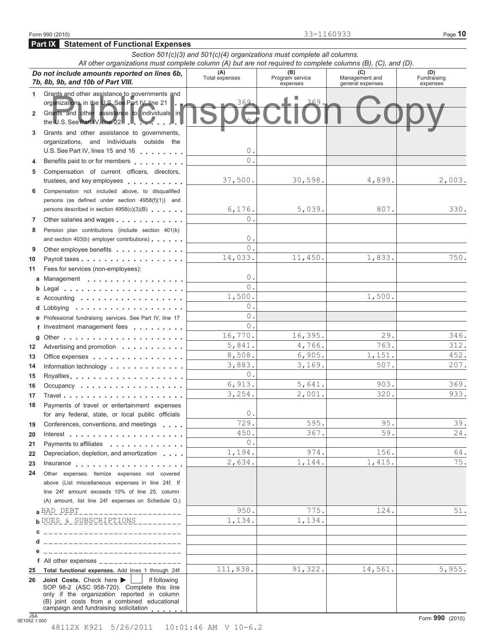|                | Do not include amounts reported on lines 6b,<br>7b, 8b, 9b, and 10b of Part VIII.                                                                                                                              | (A)<br>Total expenses | (B)<br>Program service<br>expenses | (C)<br>Management and<br>general expenses | (D)<br>Fundraising<br>expenses |
|----------------|----------------------------------------------------------------------------------------------------------------------------------------------------------------------------------------------------------------|-----------------------|------------------------------------|-------------------------------------------|--------------------------------|
| 1              | Grants and other assistance to governments and<br>organizations in the U.S. See Part IV, line 21                                                                                                               | 369                   | 369                                |                                           |                                |
| $\overline{2}$ | Grants and other assistance to individuals in<br>the U.S. See Part IV, line 22 .                                                                                                                               |                       |                                    |                                           |                                |
| 3              | Grants and other assistance to governments,                                                                                                                                                                    |                       |                                    |                                           |                                |
|                | organizations, and individuals outside the                                                                                                                                                                     |                       |                                    |                                           |                                |
|                | U.S. See Part IV, lines 15 and 16 <b>Canada Barrow Canada Barrow Canada Barrow Canada Barrow Canada Barrow Canada Barrow Canada Barrow Canada Barrow Canada Barrow Canada Barrow Canada Barrow Canada Barr</b> | $\circ$<br>$\Omega$   |                                    |                                           |                                |
| 4              | Benefits paid to or for members                                                                                                                                                                                |                       |                                    |                                           |                                |
| 5              | Compensation of current officers, directors,<br>trustees, and key employees                                                                                                                                    | 37,500.               | 30,598.                            | 4,899.                                    | 2,003.                         |
| 6              | Compensation not included above, to disqualified                                                                                                                                                               |                       |                                    |                                           |                                |
|                | persons (as defined under section 4958(f)(1)) and                                                                                                                                                              |                       |                                    | 807.                                      | 330.                           |
|                | persons described in section 4958(c)(3)(B)                                                                                                                                                                     | 6,176.<br>$\Omega$    | 5,039.                             |                                           |                                |
| $\overline{7}$ | Other salaries and wages                                                                                                                                                                                       |                       |                                    |                                           |                                |
| 8              | Pension plan contributions (include section 401(k)<br>and section 403(b) employer contributions)                                                                                                               | $\circ$               |                                    |                                           |                                |
| 9              |                                                                                                                                                                                                                | $\Omega$              |                                    |                                           |                                |
| 10             | Other employee benefits                                                                                                                                                                                        | 14,033.               | 11,450.                            | 1,833.                                    | 750.                           |
| 11             | Fees for services (non-employees):                                                                                                                                                                             |                       |                                    |                                           |                                |
|                | a Management                                                                                                                                                                                                   | $\circ$               |                                    |                                           |                                |
| b              |                                                                                                                                                                                                                | $\Omega$              |                                    |                                           |                                |
|                | Accounting $\cdots$ , $\cdots$ , $\cdots$ , $\cdots$ , $\cdots$                                                                                                                                                | 1,500.                |                                    | 1,500.                                    |                                |
| d              |                                                                                                                                                                                                                | $\circ$               |                                    |                                           |                                |
|                | e Professional fundraising services. See Part IV, line 17                                                                                                                                                      | $\circ$               |                                    |                                           |                                |
|                | f Investment management fees                                                                                                                                                                                   | $\Omega$ .            |                                    |                                           |                                |
| g              |                                                                                                                                                                                                                | 16,770.               | 16,395.                            | 29.                                       | 346.                           |
| 12             | Advertising and promotion $\cdots$                                                                                                                                                                             | 5,841.                | 4,766.                             | 763.                                      | 312.                           |
| 13             | Office expenses                                                                                                                                                                                                | 8,508.                | 6,905.                             | 1,151.                                    | 452.                           |
| 14             | Information technology                                                                                                                                                                                         | 3,883.                | 3,169.                             | 507.                                      | 207.                           |
| 15             | Royalties                                                                                                                                                                                                      | $\overline{0}$ .      |                                    |                                           |                                |
| 16             | Occupancy                                                                                                                                                                                                      | 6,913.                | 5,641.                             | 903.                                      | 369.                           |
| 17             |                                                                                                                                                                                                                | 3,254.                | 2,001.                             | 320.                                      | 933.                           |
| 18             | Payments of travel or entertainment expenses                                                                                                                                                                   |                       |                                    |                                           |                                |
|                | for any federal, state, or local public officials                                                                                                                                                              | $\theta$              |                                    |                                           |                                |
| 19             | Conferences, conventions, and meetings                                                                                                                                                                         | 729<br>450.           | 595.<br>367.                       | 95.<br>59.                                | 39.<br>24.                     |
| 20             | Interest $\ldots \ldots \ldots \ldots \ldots \ldots \ldots \ldots$                                                                                                                                             | $\Omega$              |                                    |                                           |                                |
| 21             | Payments to affiliates<br>.                                                                                                                                                                                    | 1,194.                | 974.                               | 156.                                      | 64.                            |
| 22             | Depreciation, depletion, and amortization                                                                                                                                                                      | 2,634.                | 1,144.                             | 1,415.                                    | 75.                            |
| 23<br>24       | Other expenses. Itemize expenses not covered                                                                                                                                                                   |                       |                                    |                                           |                                |
|                | above (List miscellaneous expenses in line 24f. If                                                                                                                                                             |                       |                                    |                                           |                                |
|                | line 24f amount exceeds 10% of line 25, column                                                                                                                                                                 |                       |                                    |                                           |                                |
|                | (A) amount, list line 24f expenses on Schedule O.)                                                                                                                                                             |                       |                                    |                                           |                                |
|                | a BAD DEBT                                                                                                                                                                                                     | 950.                  | 775.                               | 124.                                      | 51.                            |
|                | b DUES & SUBSCRIPTIONS _________                                                                                                                                                                               | 1,134.                | 1,134.                             |                                           |                                |
|                | ------------------------------                                                                                                                                                                                 |                       |                                    |                                           |                                |
|                | _____________________________                                                                                                                                                                                  |                       |                                    |                                           |                                |
|                | _____________________________                                                                                                                                                                                  |                       |                                    |                                           |                                |
|                | f All other expenses $\frac{1}{1}$                                                                                                                                                                             |                       |                                    |                                           |                                |
| 25             | Total functional expenses. Add lines 1 through 24f                                                                                                                                                             | 111,838.              | 91,322.                            | 14,561.                                   | 5,955.                         |
| 26             | Joint Costs. Check here $\blacktriangleright$<br>  if following<br>SOP 98-2 (ASC 958-720). Complete this line<br>only if the organization reported in column<br>(B) joint costs from a combined educational    |                       |                                    |                                           |                                |
|                | campaign and fundraising solicitation                                                                                                                                                                          |                       |                                    |                                           |                                |

*Section 501(c)(3) and 501(c)(4) organizations must complete all columns. All other organizations must complete column (A) but are not required to complete columns (B), (C), and (D).*

### **Part IX Statement of Functional Expenses**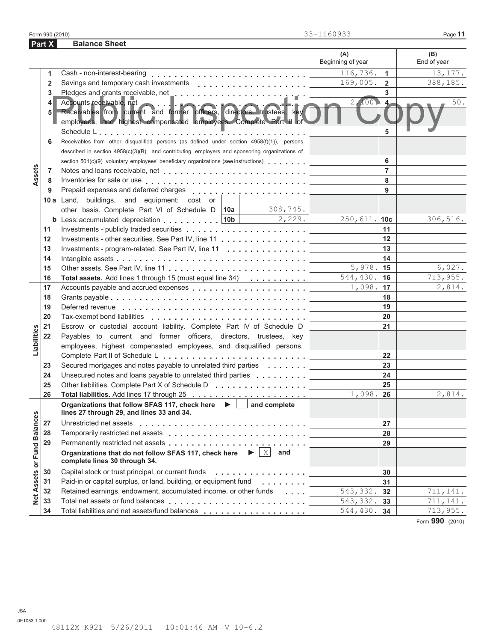**Part X** Balance Sheet

|                   |                |                                                                                                                                                                         | (A)<br>Beginning of year      |                | (B)<br>End of year |
|-------------------|----------------|-------------------------------------------------------------------------------------------------------------------------------------------------------------------------|-------------------------------|----------------|--------------------|
|                   | 1              |                                                                                                                                                                         | 116,736.                      | $\mathbf{1}$   | 13,177.            |
|                   | $\overline{2}$ |                                                                                                                                                                         | 169,005.                      | $2^{\circ}$    | 388,185.           |
|                   | 3              |                                                                                                                                                                         |                               | 3              |                    |
|                   | 4<br>5         | Accounts receivable, net<br>Receivables from current and former officers, directors, trustees, key<br>employees, and highest compensated employees. Complete Part II of | 2,100.                        | $\overline{4}$ | $50.$              |
|                   |                |                                                                                                                                                                         |                               |                |                    |
|                   | 6              | Receivables from other disqualified persons (as defined under section 4958(f)(1)), persons                                                                              |                               |                |                    |
|                   |                | described in section 4958(c)(3)(B), and contributing employers and sponsoring organizations of                                                                          |                               |                |                    |
|                   |                | section 501(c)(9) voluntary employees' beneficiary organizations (see instructions)                                                                                     |                               | 6              |                    |
| Assets            | 7              |                                                                                                                                                                         |                               | $\overline{7}$ |                    |
|                   | 8              |                                                                                                                                                                         |                               | 8              |                    |
|                   | 9              |                                                                                                                                                                         |                               | 9              |                    |
|                   |                | 10 a Land, buildings, and equipment: cost or                                                                                                                            |                               |                |                    |
|                   |                | 308,745.<br>other basis. Complete Part VI of Schedule D   10a                                                                                                           |                               |                |                    |
|                   |                | $\frac{2}{2}$ , 229.<br><b>b</b> Less: accumulated depreciation $\vert$ 10b                                                                                             | $250,611.$ 10c                |                | 306,516.           |
|                   | 11             |                                                                                                                                                                         |                               | 11             |                    |
|                   | 12             | Investments - other securities. See Part IV, line 11                                                                                                                    |                               | 12             |                    |
|                   | 13             | Investments - program-related. See Part IV, line 11                                                                                                                     | 13                            |                |                    |
|                   | 14             |                                                                                                                                                                         |                               | 14             |                    |
|                   | 15             |                                                                                                                                                                         | $5,978.$ 15                   |                | 6,027.             |
|                   | 16             | Total assets. Add lines 1 through 15 (must equal line 34)                                                                                                               | 544,430.                      | ∣ 16           | 713,955.           |
|                   | 17             |                                                                                                                                                                         | $1,098.$ 17                   |                | 2,814.             |
|                   | 18             |                                                                                                                                                                         |                               | 18             |                    |
|                   | 19             |                                                                                                                                                                         |                               | 19             |                    |
|                   | 20             |                                                                                                                                                                         |                               | 20             |                    |
|                   | 21             | Escrow or custodial account liability. Complete Part IV of Schedule D                                                                                                   |                               | 21             |                    |
| Liabilities       | 22             | Payables to current and former officers, directors, trustees, key                                                                                                       |                               |                |                    |
|                   |                | employees, highest compensated employees, and disqualified persons.                                                                                                     |                               |                |                    |
|                   |                |                                                                                                                                                                         |                               | 22             |                    |
|                   | 23             | Secured mortgages and notes payable to unrelated third parties                                                                                                          |                               | 23             |                    |
|                   | 24             | Unsecured notes and loans payable to unrelated third parties                                                                                                            |                               | 24             |                    |
|                   | 25             | Other liabilities. Complete Part X of Schedule D                                                                                                                        |                               | 25             |                    |
|                   | 26             |                                                                                                                                                                         | 1,098.                        | 26             | 2,814.             |
|                   |                | Organizations that follow SFAS 117, check here ▶ □ and complete<br>lines 27 through 29, and lines 33 and 34.                                                            |                               |                |                    |
|                   | 27             |                                                                                                                                                                         |                               | 27             |                    |
|                   | 28             |                                                                                                                                                                         |                               | 28             |                    |
|                   | 29             |                                                                                                                                                                         |                               | 29             |                    |
| or Fund Balance   |                | Organizations that do not follow SFAS 117, check here $\blacktriangleright  \mathbf{X} $ and<br>complete lines 30 through 34.                                           |                               |                |                    |
|                   | 30             | Capital stock or trust principal, or current funds<br>.                                                                                                                 |                               | 30             |                    |
| <b>Net Assets</b> | 31             | Paid-in or capital surplus, or land, building, or equipment fund<br><u>.</u>                                                                                            |                               | 31             |                    |
|                   | 32             | Retained earnings, endowment, accumulated income, or other funds                                                                                                        | 543,332.<br><b>Contractor</b> | 32             | 711,141.           |
|                   | 33             |                                                                                                                                                                         | 543,332.                      | 33             | 711,141.           |
|                   | 34             | Total liabilities and net assets/fund balances                                                                                                                          | 544,430.                      | 34             | 713,955.           |

Form **990** (2010)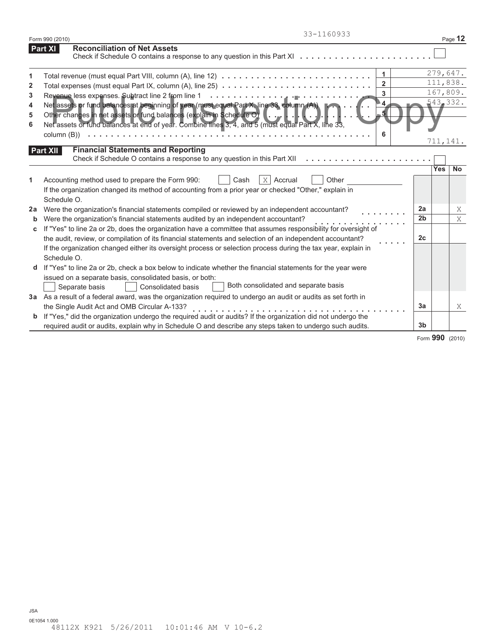|                     | 33-1160933<br>Form 990 (2010)                                                                                                                                                                                                                                                                                                                               |                      |            | Page 12   |
|---------------------|-------------------------------------------------------------------------------------------------------------------------------------------------------------------------------------------------------------------------------------------------------------------------------------------------------------------------------------------------------------|----------------------|------------|-----------|
|                     | <b>Reconciliation of Net Assets</b><br><b>Part XI</b><br>Check if Schedule O contains a response to any question in this Part XI                                                                                                                                                                                                                            |                      |            |           |
| 1<br>$\overline{2}$ | $\mathbf{1}$<br>Total revenue (must equal Part VIII, column (A), line 12) $\ldots \ldots \ldots \ldots \ldots \ldots \ldots \ldots \ldots \ldots$<br>$\overline{2}$                                                                                                                                                                                         |                      | 111,838.   | 279,647.  |
| 3<br>4              | Total expenses (must equal Part IX, column (A), line 25) $\ldots \ldots \ldots \ldots \ldots \ldots \ldots \ldots \ldots$<br>3<br>Net assets or fund balances at beginning of year (must equal Part X, line 33, column (A))                                                                                                                                 |                      | 543,332.   | 167,809.  |
| 5<br>6              | Other changes in net assets or fund balances (explain in Schedule $\Theta$ ) $\left[ \ldots \right]$ .<br>Net assets or fund balances at end of year. Combine lines 3, 4, and 5 (must equal Part X, line 33,<br>6                                                                                                                                           |                      | 711,141.   |           |
|                     | <b>Financial Statements and Reporting</b><br><b>Part XII</b><br>Check if Schedule O contains a response to any question in this Part XII                                                                                                                                                                                                                    |                      |            |           |
| 1                   | $X$ Accrual<br>Other<br>Accounting method used to prepare the Form 990:<br>Cash<br>If the organization changed its method of accounting from a prior year or checked "Other," explain in<br>Schedule O.                                                                                                                                                     |                      | <b>Yes</b> | <b>No</b> |
| 2a<br>b             | Were the organization's financial statements compiled or reviewed by an independent accountant?<br>Were the organization's financial statements audited by an independent accountant?                                                                                                                                                                       | 2a<br>2 <sub>b</sub> |            | Χ<br>X    |
| C                   | If "Yes" to line 2a or 2b, does the organization have a committee that assumes responsibility for oversight of<br>the audit, review, or compilation of its financial statements and selection of an independent accountant?<br>If the organization changed either its oversight process or selection process during the tax year, explain in<br>Schedule O. | 2c                   |            |           |
|                     | If "Yes" to line 2a or 2b, check a box below to indicate whether the financial statements for the year were<br>issued on a separate basis, consolidated basis, or both:<br>Both consolidated and separate basis<br>Separate basis<br>Consolidated basis                                                                                                     |                      |            |           |
|                     | 3a As a result of a federal award, was the organization required to undergo an audit or audits as set forth in<br>the Single Audit Act and OMB Circular A-133?                                                                                                                                                                                              | 3a                   |            | X         |
| b                   | If "Yes," did the organization undergo the required audit or audits? If the organization did not undergo the<br>required audit or audits, explain why in Schedule O and describe any steps taken to undergo such audits.                                                                                                                                    | 3 <sub>b</sub>       |            |           |

Form **990** (2010)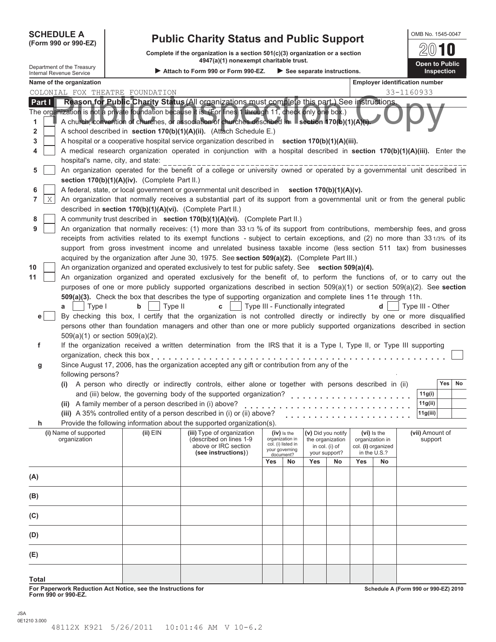| <b>SCHEDULE A</b> |  |
|-------------------|--|
|                   |  |

## **SCHEDULE A Public Charity Status and Public Support (Form 990 or 990-EZ) (Form 990 or 990-EZ)**

**Complete if the organization is a section 501(c)(3) organization or a section 4947(a)(1) nonexempt charitable trust.**

|                                                                                                                      | Department of the Treasury |                                                            | 4947(a)(1) nonexempt charitable trust.                                                                                                                                                                                                            |     |                                       |                                    |                                 |     |                                       |            |                   | Open to Public |  |
|----------------------------------------------------------------------------------------------------------------------|----------------------------|------------------------------------------------------------|---------------------------------------------------------------------------------------------------------------------------------------------------------------------------------------------------------------------------------------------------|-----|---------------------------------------|------------------------------------|---------------------------------|-----|---------------------------------------|------------|-------------------|----------------|--|
| Attach to Form 990 or Form 990-EZ.<br>$\triangleright$ See separate instructions.<br><b>Internal Revenue Service</b> |                            |                                                            |                                                                                                                                                                                                                                                   |     |                                       |                                    |                                 |     | Inspection                            |            |                   |                |  |
|                                                                                                                      | Name of the organization   |                                                            |                                                                                                                                                                                                                                                   |     |                                       |                                    |                                 |     | <b>Employer identification number</b> |            |                   |                |  |
|                                                                                                                      |                            | COLONIAL FOX THEATRE FOUNDATION                            |                                                                                                                                                                                                                                                   |     |                                       |                                    |                                 |     |                                       | 33-1160933 |                   |                |  |
| Part I                                                                                                               |                            |                                                            | Reason for Public Charity Status (All organizations must complete this part.) See instructions.                                                                                                                                                   |     |                                       |                                    |                                 |     |                                       |            |                   |                |  |
| 1                                                                                                                    |                            |                                                            | The organization is not a private foundation because it is. (For lines 1 through 11, check only one box.)<br>A church, convention of churches, or association of churches described in Section 170(b)(1)(A)(i).                                   |     |                                       |                                    |                                 |     |                                       |            |                   |                |  |
| 2                                                                                                                    |                            |                                                            | A school described in section 170(b)(1)(A)(ii). (Attach Schedule E.)                                                                                                                                                                              |     |                                       |                                    |                                 |     |                                       |            |                   |                |  |
| 3                                                                                                                    |                            |                                                            | A hospital or a cooperative hospital service organization described in section 170(b)(1)(A)(iii).                                                                                                                                                 |     |                                       |                                    |                                 |     |                                       |            |                   |                |  |
| 4                                                                                                                    |                            |                                                            | A medical research organization operated in conjunction with a hospital described in section 170(b)(1)(A)(iii). Enter the                                                                                                                         |     |                                       |                                    |                                 |     |                                       |            |                   |                |  |
| 5                                                                                                                    |                            | hospital's name, city, and state:                          | An organization operated for the benefit of a college or university owned or operated by a governmental unit described in                                                                                                                         |     |                                       |                                    |                                 |     |                                       |            |                   |                |  |
|                                                                                                                      |                            | section 170(b)(1)(A)(iv). (Complete Part II.)              |                                                                                                                                                                                                                                                   |     |                                       |                                    |                                 |     |                                       |            |                   |                |  |
| 6                                                                                                                    |                            |                                                            | A federal, state, or local government or governmental unit described in section 170(b)(1)(A)(v).                                                                                                                                                  |     |                                       |                                    |                                 |     |                                       |            |                   |                |  |
| Χ<br>7                                                                                                               |                            |                                                            | An organization that normally receives a substantial part of its support from a governmental unit or from the general public                                                                                                                      |     |                                       |                                    |                                 |     |                                       |            |                   |                |  |
|                                                                                                                      |                            | described in section 170(b)(1)(A)(vi). (Complete Part II.) |                                                                                                                                                                                                                                                   |     |                                       |                                    |                                 |     |                                       |            |                   |                |  |
| 8                                                                                                                    |                            |                                                            | A community trust described in section 170(b)(1)(A)(vi). (Complete Part II.)                                                                                                                                                                      |     |                                       |                                    |                                 |     |                                       |            |                   |                |  |
| 9                                                                                                                    |                            |                                                            | An organization that normally receives: (1) more than 331/3 % of its support from contributions, membership fees, and gross                                                                                                                       |     |                                       |                                    |                                 |     |                                       |            |                   |                |  |
|                                                                                                                      |                            |                                                            | receipts from activities related to its exempt functions - subject to certain exceptions, and (2) no more than 331/3% of its<br>support from gross investment income and unrelated business taxable income (less section 511 tax) from businesses |     |                                       |                                    |                                 |     |                                       |            |                   |                |  |
|                                                                                                                      |                            |                                                            | acquired by the organization after June 30, 1975. See section 509(a)(2). (Complete Part III.)                                                                                                                                                     |     |                                       |                                    |                                 |     |                                       |            |                   |                |  |
| 10                                                                                                                   |                            |                                                            | An organization organized and operated exclusively to test for public safety. See section 509(a)(4).                                                                                                                                              |     |                                       |                                    |                                 |     |                                       |            |                   |                |  |
| 11                                                                                                                   |                            |                                                            | An organization organized and operated exclusively for the benefit of, to perform the functions of, or to carry out the                                                                                                                           |     |                                       |                                    |                                 |     |                                       |            |                   |                |  |
|                                                                                                                      |                            |                                                            | purposes of one or more publicly supported organizations described in section $509(a)(1)$ or section $509(a)(2)$ . See section                                                                                                                    |     |                                       |                                    |                                 |     |                                       |            |                   |                |  |
|                                                                                                                      |                            |                                                            | 509(a)(3). Check the box that describes the type of supporting organization and complete lines 11e through 11h.                                                                                                                                   |     |                                       |                                    |                                 |     |                                       |            |                   |                |  |
|                                                                                                                      | Type I<br>a                | Type II<br>b                                               | $\mathbf{c}$                                                                                                                                                                                                                                      |     |                                       | Type III - Functionally integrated |                                 |     | d                                     |            | Type III - Other  |                |  |
| e <sub>1</sub>                                                                                                       |                            |                                                            | By checking this box, I certify that the organization is not controlled directly or indirectly by one or more disqualified                                                                                                                        |     |                                       |                                    |                                 |     |                                       |            |                   |                |  |
|                                                                                                                      |                            |                                                            | persons other than foundation managers and other than one or more publicly supported organizations described in section                                                                                                                           |     |                                       |                                    |                                 |     |                                       |            |                   |                |  |
|                                                                                                                      |                            | $509(a)(1)$ or section $509(a)(2)$ .                       |                                                                                                                                                                                                                                                   |     |                                       |                                    |                                 |     |                                       |            |                   |                |  |
| f                                                                                                                    |                            |                                                            | If the organization received a written determination from the IRS that it is a Type I, Type II, or Type III supporting                                                                                                                            |     |                                       |                                    |                                 |     |                                       |            |                   |                |  |
|                                                                                                                      |                            | organization, check this box                               |                                                                                                                                                                                                                                                   |     |                                       |                                    |                                 |     |                                       |            |                   |                |  |
| g                                                                                                                    |                            |                                                            | Since August 17, 2006, has the organization accepted any gift or contribution from any of the                                                                                                                                                     |     |                                       |                                    |                                 |     |                                       |            |                   |                |  |
|                                                                                                                      | following persons?         |                                                            |                                                                                                                                                                                                                                                   |     |                                       |                                    |                                 |     |                                       |            |                   |                |  |
|                                                                                                                      |                            |                                                            | (i) A person who directly or indirectly controls, either alone or together with persons described in (ii)                                                                                                                                         |     |                                       |                                    |                                 |     |                                       |            |                   | Yes<br>No      |  |
|                                                                                                                      |                            | (ii) A family member of a person described in (i) above?   | and (iii) below, the governing body of the supported organization?                                                                                                                                                                                |     |                                       |                                    |                                 |     |                                       |            | 11g(i)<br>11g(ii) |                |  |
|                                                                                                                      |                            |                                                            | (iii) A 35% controlled entity of a person described in (i) or (ii) above?                                                                                                                                                                         |     |                                       |                                    |                                 |     |                                       |            | 11g(iii)          |                |  |
|                                                                                                                      |                            |                                                            | Provide the following information about the supported organization(s).                                                                                                                                                                            |     |                                       |                                    |                                 |     |                                       |            |                   |                |  |
|                                                                                                                      | (i) Name of supported      | $(ii)$ EIN                                                 | (iii) Type of organization                                                                                                                                                                                                                        |     | (iv) is the                           |                                    | (v) Did you notify              |     | $(vi)$ is the                         |            | (vii) Amount of   |                |  |
|                                                                                                                      | organization               |                                                            | (described on lines 1-9                                                                                                                                                                                                                           |     | organization in<br>col. (i) listed in |                                    | the organization                |     | organization in                       |            | support           |                |  |
|                                                                                                                      |                            |                                                            | above or IRC section<br>(see instructions))                                                                                                                                                                                                       |     | your governing<br>document?           |                                    | in col. (i) of<br>your support? |     | col. (i) organized<br>in the U.S.?    |            |                   |                |  |
|                                                                                                                      |                            |                                                            |                                                                                                                                                                                                                                                   | Yes | No                                    | Yes                                | No                              | Yes | No                                    |            |                   |                |  |
| (A)                                                                                                                  |                            |                                                            |                                                                                                                                                                                                                                                   |     |                                       |                                    |                                 |     |                                       |            |                   |                |  |
|                                                                                                                      |                            |                                                            |                                                                                                                                                                                                                                                   |     |                                       |                                    |                                 |     |                                       |            |                   |                |  |
| (B)                                                                                                                  |                            |                                                            |                                                                                                                                                                                                                                                   |     |                                       |                                    |                                 |     |                                       |            |                   |                |  |
| (C)                                                                                                                  |                            |                                                            |                                                                                                                                                                                                                                                   |     |                                       |                                    |                                 |     |                                       |            |                   |                |  |
| (D)                                                                                                                  |                            |                                                            |                                                                                                                                                                                                                                                   |     |                                       |                                    |                                 |     |                                       |            |                   |                |  |
| (E)                                                                                                                  |                            |                                                            |                                                                                                                                                                                                                                                   |     |                                       |                                    |                                 |     |                                       |            |                   |                |  |
|                                                                                                                      |                            |                                                            |                                                                                                                                                                                                                                                   |     |                                       |                                    |                                 |     |                                       |            |                   |                |  |

| I<br>. |  |
|--------|--|
|--------|--|

**For Paperwork Reduction Act Notice, see the Instructions for Form 990 or 990-EZ.**

**Schedule A (Form 990 or 990-EZ) 2010**

2010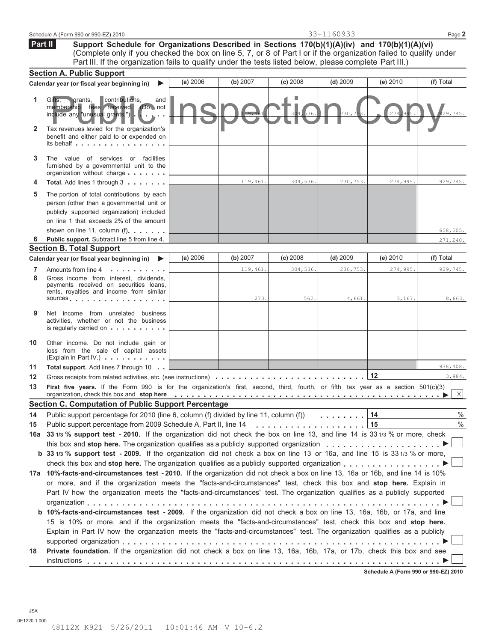|    | Schedule A (Form 990 or 990-EZ) 2010                                                                                                                                                                                                                                                                                                                                    |          |          |            | 33-1160933         |                                      | Page 2    |  |
|----|-------------------------------------------------------------------------------------------------------------------------------------------------------------------------------------------------------------------------------------------------------------------------------------------------------------------------------------------------------------------------|----------|----------|------------|--------------------|--------------------------------------|-----------|--|
|    | Support Schedule for Organizations Described in Sections 170(b)(1)(A)(iv) and 170(b)(1)(A)(vi)<br>Part II<br>(Complete only if you checked the box on line 5, 7, or 8 of Part I or if the organization failed to qualify under<br>Part III. If the organization fails to qualify under the tests listed below, please complete Part III.)                               |          |          |            |                    |                                      |           |  |
|    | <b>Section A. Public Support</b>                                                                                                                                                                                                                                                                                                                                        |          |          |            |                    |                                      |           |  |
|    | Calendar year (or fiscal year beginning in)<br>▶                                                                                                                                                                                                                                                                                                                        | (a) 2006 | (b) 2007 | $(c)$ 2008 | $(d)$ 2009         | (e) $2010$                           | (f) Total |  |
| 1  | contributions,<br>Gifts.<br>grants,<br>and<br>membership fees received. (Do not<br>include any "unusual grants.") .                                                                                                                                                                                                                                                     |          |          | 304, 536   | 30.7               | 274.99                               | 29,745    |  |
| 2  | Tax revenues levied for the organization's<br>benefit and either paid to or expended on<br>its behalf                                                                                                                                                                                                                                                                   |          |          |            |                    |                                      |           |  |
| 3  | The value of services or facilities<br>furnished by a governmental unit to the<br>organization without charge                                                                                                                                                                                                                                                           |          |          |            |                    |                                      |           |  |
| 4  | Total. Add lines 1 through 3                                                                                                                                                                                                                                                                                                                                            |          | 119,461. | 304,536.   | 230,753.           | 274,995.                             | 929,745.  |  |
| 5  | The portion of total contributions by each<br>person (other than a governmental unit or<br>publicly supported organization) included<br>on line 1 that exceeds 2% of the amount                                                                                                                                                                                         |          |          |            |                    |                                      |           |  |
|    | shown on line 11, column (f)                                                                                                                                                                                                                                                                                                                                            |          |          |            |                    |                                      | 658,505.  |  |
| 6  | Public support. Subtract line 5 from line 4.                                                                                                                                                                                                                                                                                                                            |          |          |            |                    |                                      | 271,240.  |  |
|    | <b>Section B. Total Support</b><br>Calendar year (or fiscal year beginning in)                                                                                                                                                                                                                                                                                          | (a) 2006 | (b) 2007 | $(c)$ 2008 | $(d)$ 2009         | (e) 2010                             | (f) Total |  |
| 7  | ▶<br>Amounts from line 4                                                                                                                                                                                                                                                                                                                                                |          | 119,461. | 304,536.   | 230,753.           | 274,995.                             | 929,745.  |  |
| 8  | Gross income from interest, dividends,<br>payments received on securities loans,<br>rents, royalties and income from similar<br>sources                                                                                                                                                                                                                                 |          | 273.     | 562.       | 4,661.             | 3,167.                               | 8,663.    |  |
| 9  | Net income from unrelated business<br>activities, whether or not the business<br>is regularly carried on                                                                                                                                                                                                                                                                |          |          |            |                    |                                      |           |  |
| 10 | Other income. Do not include gain or<br>loss from the sale of capital assets<br>(Explain in Part IV.)                                                                                                                                                                                                                                                                   |          |          |            |                    |                                      |           |  |
| 11 | <b>Total support.</b> Add lines 7 through 10                                                                                                                                                                                                                                                                                                                            |          |          |            |                    |                                      | 938,408.  |  |
| 12 | Gross receipts from related activities, etc. (see instructions)                                                                                                                                                                                                                                                                                                         |          |          |            |                    | 12                                   | 3,984.    |  |
| 13 | First five years. If the Form 990 is for the organization's first, second, third, fourth, or fifth tax year as a section 501(c)(3) __<br>organization, check this box and stop here entitled to provide the set of the set of the set of the set of the set of the set of the set of the set of the set of the set of the set of the set of the set of the set of the s |          |          |            |                    |                                      | X         |  |
|    | <b>Section C. Computation of Public Support Percentage</b>                                                                                                                                                                                                                                                                                                              |          |          |            |                    |                                      |           |  |
| 14 | Public support percentage for 2010 (line 6, column (f) divided by line 11, column (f))                                                                                                                                                                                                                                                                                  |          |          |            | and a straight and | 14                                   | $\%$      |  |
| 15 | 15<br>$\%$                                                                                                                                                                                                                                                                                                                                                              |          |          |            |                    |                                      |           |  |
|    | 16a 33 1/3 % support test - 2010. If the organization did not check the box on line 13, and line 14 is 33 1/3 % or more, check                                                                                                                                                                                                                                          |          |          |            |                    |                                      |           |  |
|    | this box and stop here. The organization qualifies as a publicly supported organization                                                                                                                                                                                                                                                                                 |          |          |            |                    |                                      |           |  |
|    | <b>b</b> 33 1/3 % support test - 2009. If the organization did not check a box on line 13 or 16a, and line 15 is 33 1/3 % or more,                                                                                                                                                                                                                                      |          |          |            |                    |                                      |           |  |
|    | check this box and stop here. The organization qualifies as a publicly supported organization<br>17a 10%-facts-and-circumstances test - 2010. If the organization did not check a box on line 13, 16a or 16b, and line 14 is 10%                                                                                                                                        |          |          |            |                    |                                      |           |  |
|    | or more, and if the organization meets the "facts-and-circumstances" test, check this box and stop here. Explain in                                                                                                                                                                                                                                                     |          |          |            |                    |                                      |           |  |
|    | Part IV how the organization meets the "facts-and-circumstances" test. The organization qualifies as a publicly supported                                                                                                                                                                                                                                               |          |          |            |                    |                                      |           |  |
|    |                                                                                                                                                                                                                                                                                                                                                                         |          |          |            |                    |                                      |           |  |
|    | <b>b 10%-facts-and-circumstances test - 2009.</b> If the organization did not check a box on line 13, 16a, 16b, or 17a, and line                                                                                                                                                                                                                                        |          |          |            |                    |                                      |           |  |
|    | 15 is 10% or more, and if the organization meets the "facts-and-circumstances" test, check this box and stop here.                                                                                                                                                                                                                                                      |          |          |            |                    |                                      |           |  |
|    | Explain in Part IV how the organzation meets the "facts-and-circumstances" test. The organization qualifies as a publicly                                                                                                                                                                                                                                               |          |          |            |                    |                                      |           |  |
|    |                                                                                                                                                                                                                                                                                                                                                                         |          |          |            |                    |                                      |           |  |
| 18 | Private foundation. If the organization did not check a box on line 13, 16a, 16b, 17a, or 17b, check this box and see                                                                                                                                                                                                                                                   |          |          |            |                    |                                      |           |  |
|    |                                                                                                                                                                                                                                                                                                                                                                         |          |          |            |                    |                                      |           |  |
|    |                                                                                                                                                                                                                                                                                                                                                                         |          |          |            |                    | Schedule A (Form 990 or 990-EZ) 2010 |           |  |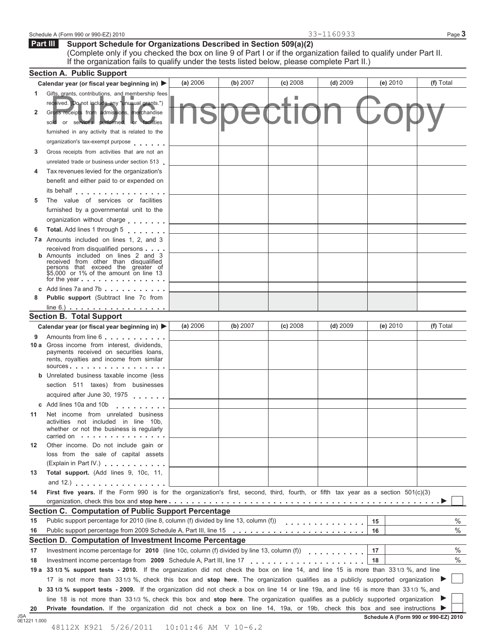| Schedule<br>2010<br>ററ<br>$.000 \times 0.000$<br>(Form<br>$59.911 -$<br>່ສສບ ບເ | $\overline{\phantom{0}}$ | $P_{0.92}$<br>auc |
|---------------------------------------------------------------------------------|--------------------------|-------------------|
|---------------------------------------------------------------------------------|--------------------------|-------------------|

#### **Support Schedule for Organizations Described in Section 509(a)(2) Part III**

(Complete only if you checked the box on line 9 of Part I or if the organization failed to qualify under Part II. If the organization fails to qualify under the tests listed below, please complete Part II.)

|      | <b>Section A. Public Support</b>                                                                                                                                                                                                                                               |          |          |            |            |    |          |           |      |
|------|--------------------------------------------------------------------------------------------------------------------------------------------------------------------------------------------------------------------------------------------------------------------------------|----------|----------|------------|------------|----|----------|-----------|------|
|      | Calendar year (or fiscal year beginning in) ▶                                                                                                                                                                                                                                  | (a) 2006 | (b) 2007 | $(c)$ 2008 | $(d)$ 2009 |    | (e) 2010 | (f) Total |      |
| 1.   | Gifts, grants, contributions, and membership fees                                                                                                                                                                                                                              |          |          |            |            |    |          |           |      |
|      | received. (Do not include any "unusual grants.")                                                                                                                                                                                                                               |          |          |            |            |    |          |           |      |
| 2    | Gross receipts from admissions, merchandise<br>sold or services performed, or facilities                                                                                                                                                                                       |          |          |            |            |    |          |           |      |
|      | furnished in any activity that is related to the                                                                                                                                                                                                                               |          |          |            |            |    |          |           |      |
|      | organization's tax-exempt purpose                                                                                                                                                                                                                                              |          |          |            |            |    |          |           |      |
| 3    | Gross receipts from activities that are not an                                                                                                                                                                                                                                 |          |          |            |            |    |          |           |      |
|      | unrelated trade or business under section 513                                                                                                                                                                                                                                  |          |          |            |            |    |          |           |      |
| 4    | Tax revenues levied for the organization's                                                                                                                                                                                                                                     |          |          |            |            |    |          |           |      |
|      | benefit and either paid to or expended on                                                                                                                                                                                                                                      |          |          |            |            |    |          |           |      |
|      | its behalf                                                                                                                                                                                                                                                                     |          |          |            |            |    |          |           |      |
| 5    | The value of services or facilities                                                                                                                                                                                                                                            |          |          |            |            |    |          |           |      |
|      | furnished by a governmental unit to the                                                                                                                                                                                                                                        |          |          |            |            |    |          |           |      |
|      | organization without charge                                                                                                                                                                                                                                                    |          |          |            |            |    |          |           |      |
| 6    | Total. Add lines 1 through 5                                                                                                                                                                                                                                                   |          |          |            |            |    |          |           |      |
|      | <b>7a</b> Amounts included on lines 1, 2, and 3                                                                                                                                                                                                                                |          |          |            |            |    |          |           |      |
|      | received from disqualified persons<br><b>b</b> Amounts included on lines 2 and 3<br>received from other than disqualified<br>persons that exceed the greater of<br>\$5,000 or 1% of the amount on line 13<br>for the year $\ldots$ , $\ldots$ , $\ldots$ , $\ldots$ , $\ldots$ |          |          |            |            |    |          |           |      |
|      | c Add lines 7a and 7b $\ldots$ , $\ldots$ , $\ldots$                                                                                                                                                                                                                           |          |          |            |            |    |          |           |      |
| 8    | <b>Public support</b> (Subtract line 7c from                                                                                                                                                                                                                                   |          |          |            |            |    |          |           |      |
|      | $line 6.)$                                                                                                                                                                                                                                                                     |          |          |            |            |    |          |           |      |
|      | <b>Section B. Total Support</b>                                                                                                                                                                                                                                                |          |          |            |            |    |          |           |      |
|      | Calendar year (or fiscal year beginning in) ▶                                                                                                                                                                                                                                  | (a) 2006 | (b) 2007 | $(c)$ 2008 | $(d)$ 2009 |    | (e) 2010 | (f) Total |      |
| 9    | Amounts from line 6                                                                                                                                                                                                                                                            |          |          |            |            |    |          |           |      |
|      | <b>10 a</b> Gross income from interest, dividends,<br>payments received on securities loans,<br>rents, royalties and income from similar<br>$sources$ , , , , , , , , , , , , , , , , , ,                                                                                      |          |          |            |            |    |          |           |      |
|      | <b>b</b> Unrelated business taxable income (less                                                                                                                                                                                                                               |          |          |            |            |    |          |           |      |
|      | section 511 taxes) from businesses                                                                                                                                                                                                                                             |          |          |            |            |    |          |           |      |
|      | acquired after June 30, 1975                                                                                                                                                                                                                                                   |          |          |            |            |    |          |           |      |
|      | c Add lines 10a and 10b                                                                                                                                                                                                                                                        |          |          |            |            |    |          |           |      |
| 11   | Net income from unrelated business<br>activities not included in line 10b,<br>whether or not the business is regularly<br>carried on $\cdots$ , $\cdots$ , $\cdots$ , $\cdots$ , $\cdots$                                                                                      |          |          |            |            |    |          |           |      |
| 12   | Other income. Do not include gain or<br>loss from the sale of capital assets                                                                                                                                                                                                   |          |          |            |            |    |          |           |      |
|      | (Explain in Part IV.)                                                                                                                                                                                                                                                          |          |          |            |            |    |          |           |      |
| 13   | Total support. (Add lines 9, 10c, 11,                                                                                                                                                                                                                                          |          |          |            |            |    |          |           |      |
|      | and 12.) $\ldots$ $\ldots$ $\ldots$ $\ldots$ $\ldots$ $\ldots$                                                                                                                                                                                                                 |          |          |            |            |    |          |           |      |
| 14   | First five years. If the Form 990 is for the organization's first, second, third, fourth, or fifth tax year as a section 501(c)(3)                                                                                                                                             |          |          |            |            |    |          |           |      |
|      |                                                                                                                                                                                                                                                                                |          |          |            |            |    |          |           |      |
|      | Section C. Computation of Public Support Percentage                                                                                                                                                                                                                            |          |          |            |            |    |          |           |      |
| 15   | Public support percentage for 2010 (line 8, column (f) divided by line 13, column (f))                                                                                                                                                                                         |          |          |            | .          | 15 |          |           | $\%$ |
| 16   |                                                                                                                                                                                                                                                                                |          |          |            |            | 16 |          |           | $\%$ |
|      | Section D. Computation of Investment Income Percentage                                                                                                                                                                                                                         |          |          |            |            |    |          |           |      |
| 17   | Investment income percentage for 2010 (line 10c, column (f) divided by line 13, column (f))                                                                                                                                                                                    |          |          |            | .          | 17 |          |           | $\%$ |
| 18   | Investment income percentage from 2009 Schedule A, Part III, line 17                                                                                                                                                                                                           |          |          | .          |            | 18 |          |           | $\%$ |
| 19 а | 33 1/3 % support tests - 2010. If the organization did not check the box on line 14, and line 15 is more than 33 1/3 %, and line                                                                                                                                               |          |          |            |            |    |          |           |      |
|      | 17 is not more than 331/3 %, check this box and stop here. The organization qualifies as a publicly supported organization                                                                                                                                                     |          |          |            |            |    |          |           |      |
|      | <b>b</b> 33 1/3 % support tests - 2009. If the organization did not check a box on line 14 or line 19a, and line 16 is more than 33 1/3 %, and                                                                                                                                 |          |          |            |            |    |          |           |      |
|      | line 18 is not more than 331/3 %, check this box and stop here. The organization qualifies as a publicly supported organization                                                                                                                                                |          |          |            |            |    |          |           |      |
| 20   | Private foundation. If the organization did not check a box on line 14, 19a, or 19b, check this box and see instructions ▶                                                                                                                                                     |          |          |            |            |    |          |           |      |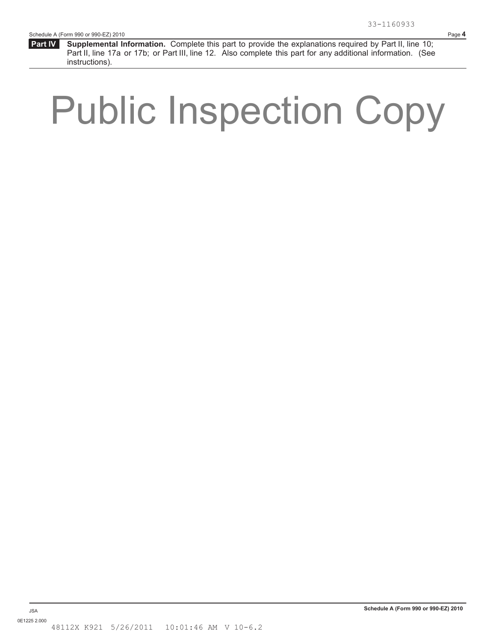**Supplemental Information.** Complete this part to provide the explanations required by Part II, line 10; Part II, line 17a or 17b; or Part III, line 12. Also complete this part for any additional information. (See instructions).  **Part IV** 

# Public Inspection Copy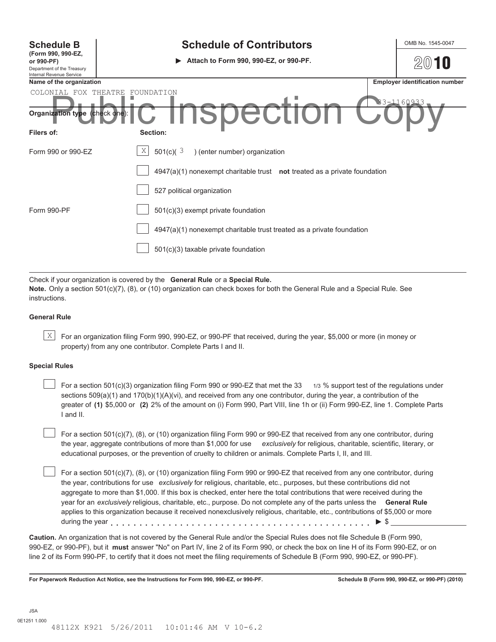| <b>Schedule B</b><br>(Form 990, 990-EZ,<br>or 990-PF)<br>Department of the Treasury<br>Internal Revenue Service | <b>Schedule of Contributors</b><br>Attach to Form 990, 990-EZ, or 990-PF.<br>▶ | OMB No. 1545-0047                     |
|-----------------------------------------------------------------------------------------------------------------|--------------------------------------------------------------------------------|---------------------------------------|
| Name of the organization                                                                                        |                                                                                | <b>Employer identification number</b> |
| COLONIAL FOX THEATRE<br>Organization type (check one)                                                           | FOUNDATION<br>33-1160933<br><b>SUCUL</b><br>I.                                 |                                       |
| Filers of:                                                                                                      | Section:                                                                       |                                       |
| Form 990 or 990-EZ                                                                                              | X<br>501(c)( $3$<br>) (enter number) organization                              |                                       |
|                                                                                                                 | $4947(a)(1)$ nonexempt charitable trust not treated as a private foundation    |                                       |
|                                                                                                                 | 527 political organization                                                     |                                       |
| Form 990-PF                                                                                                     | 501(c)(3) exempt private foundation                                            |                                       |
|                                                                                                                 | 4947(a)(1) nonexempt charitable trust treated as a private foundation          |                                       |
|                                                                                                                 | 501(c)(3) taxable private foundation                                           |                                       |

Check if your organization is covered by the **General Rule** or a **Special Rule. Note.** Only a section 501(c)(7), (8), or (10) organization can check boxes for both the General Rule and a Special Rule. See instructions.

#### **General Rule**

 $\mathbb{X}$  For an organization filing Form 990, 990-EZ, or 990-PF that received, during the year, \$5,000 or more (in money or property) from any one contributor. Complete Parts I and II.

#### **Special Rules**

For a section 501(c)(3) organization filing Form 990 or 990-EZ that met the 33 1/3 % support test of the regulations under sections  $509(a)(1)$  and  $170(b)(1)(A)(vi)$ , and received from any one contributor, during the year, a contribution of the greater of **(1)** \$5,000 or **(2)** 2% of the amount on (i) Form 990, Part VIII, line 1h or (ii) Form 990-EZ, line 1. Complete Parts I and II.

For a section 501(c)(7), (8), or (10) organization filing Form 990 or 990-EZ that received from any one contributor, during the year, aggregate contributions of more than \$1,000 for use *exclusively* for religious, charitable, scientific, literary, or educational purposes, or the prevention of cruelty to children or animals. Complete Parts I, II, and III.

For a section 501(c)(7), (8), or (10) organization filing Form 990 or 990-EZ that received from any one contributor, during the year, contributions for use *exclusively* for religious, charitable, etc., purposes, but these contributions did not aggregate to more than \$1,000. If this box is checked, enter here the total contributions that were received during the year for an *exclusively* religious, charitable, etc., purpose. Do not complete any of the parts unless the **General Rule** applies to this organization because it received nonexclusively religious, charitable, etc., contributions of \$5,000 or more during the year  $\ldots$   $\ldots$   $\ldots$   $\ldots$   $\ldots$   $\ldots$   $\ldots$   $\ldots$   $\ldots$   $\ldots$   $\ldots$   $\ldots$   $\ldots$   $\blacktriangleright$   $\mathcal{S}_-$ 

**Caution.** An organization that is not covered by the General Rule and/or the Special Rules does not file Schedule B (Form 990, 990-EZ, or 990-PF), but it **must** answer "No" on Part IV, line 2 of its Form 990, or check the box on line H of its Form 990-EZ, or on line 2 of its Form 990-PF, to certify that it does not meet the filing requirements of Schedule B (Form 990, 990-EZ, or 990-PF).

**For Paperwork Reduction Act Notice, see the Instructions for Form 990, 990-EZ, or 990-PF. Schedule B (Form 990, 990-EZ, or 990-PF) (2010)**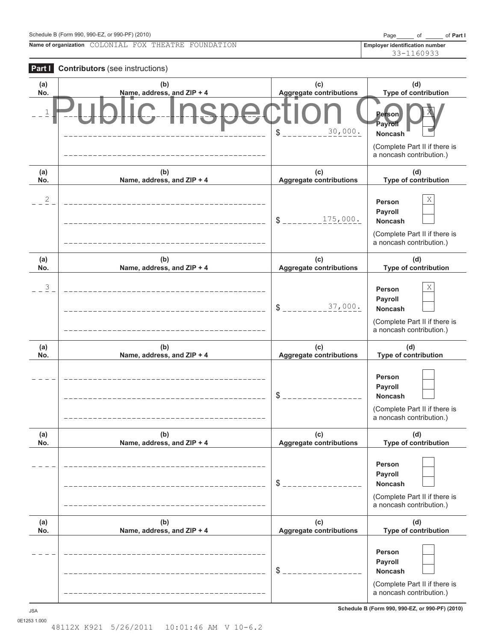| Schedule B (Form 990, 990-EZ, or 990-PF) (2010)<br>Page |  | of Part I |
|---------------------------------------------------------|--|-----------|
|---------------------------------------------------------|--|-----------|

**Name of organization Employer identification number** COLONIAL FOX THEATRE FOUNDATION

33-1160933



**Schedule B (Form 990, 990-EZ, or 990-PF) (2010)** JSA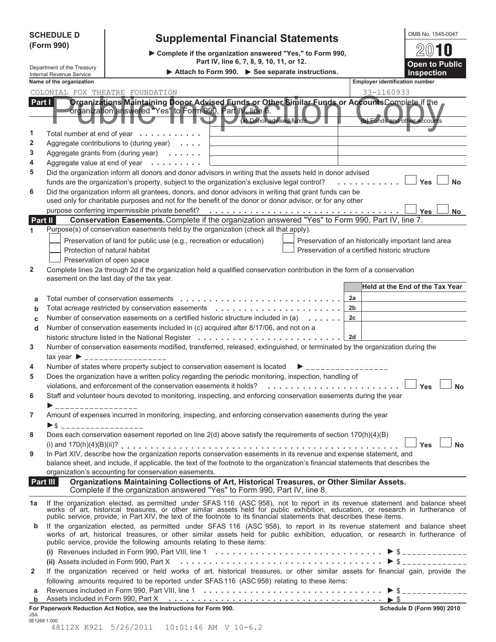|                                                               | <b>SCHEDULE D</b><br>(Form 990)         | <b>Supplemental Financial Statements</b><br>Complete if the organization answered "Yes," to Form 990,<br>Part IV, line 6, 7, 8, 9, 10, 11, or 12.                                                                                                                                                                                      |                                                                                                       | OMB No. 1545-0047<br>2010<br><b>Open to Public</b> |
|---------------------------------------------------------------|-----------------------------------------|----------------------------------------------------------------------------------------------------------------------------------------------------------------------------------------------------------------------------------------------------------------------------------------------------------------------------------------|-------------------------------------------------------------------------------------------------------|----------------------------------------------------|
| Department of the Treasury<br><b>Internal Revenue Service</b> |                                         | <b>Inspection</b>                                                                                                                                                                                                                                                                                                                      |                                                                                                       |                                                    |
|                                                               | Name of the organization                |                                                                                                                                                                                                                                                                                                                                        | <b>Employer identification number</b>                                                                 |                                                    |
|                                                               |                                         | COLONIAL FOX THEATRE FOUNDATION                                                                                                                                                                                                                                                                                                        | 33-1160933                                                                                            |                                                    |
| Part $\vert \vert$                                            |                                         | Organizations Maintaining Donor Advised Funds or Other Similar Funds or AccountsComplete if the<br>organization answered "Yes" to Form 990, Part IV, line 6.<br>(a) Donor advised funds                                                                                                                                                | (b) Funds and other accounts                                                                          |                                                    |
| 1                                                             |                                         | Total number at end of year                                                                                                                                                                                                                                                                                                            |                                                                                                       |                                                    |
| 2                                                             |                                         | Aggregate contributions to (during year)                                                                                                                                                                                                                                                                                               |                                                                                                       |                                                    |
| 3<br>4                                                        |                                         | Aggregate grants from (during year)                                                                                                                                                                                                                                                                                                    |                                                                                                       |                                                    |
| 5                                                             |                                         | Aggregate value at end of year<br>Did the organization inform all donors and donor advisors in writing that the assets held in donor advised                                                                                                                                                                                           |                                                                                                       |                                                    |
|                                                               |                                         | funds are the organization's property, subject to the organization's exclusive legal control?                                                                                                                                                                                                                                          | .                                                                                                     | Yes<br><b>No</b>                                   |
| 6                                                             |                                         | Did the organization inform all grantees, donors, and donor advisors in writing that grant funds can be<br>used only for charitable purposes and not for the benefit of the donor or donor advisor, or for any other<br>purpose conferring impermissible private benefit?                                                              |                                                                                                       | Yes<br><b>No</b>                                   |
| Part II                                                       |                                         | Conservation Easements. Complete if the organization answered "Yes" to Form 990, Part IV, line 7.                                                                                                                                                                                                                                      |                                                                                                       |                                                    |
| 1                                                             |                                         | Purpose(s) of conservation easements held by the organization (check all that apply).                                                                                                                                                                                                                                                  |                                                                                                       |                                                    |
|                                                               |                                         | Preservation of land for public use (e.g., recreation or education)<br>Protection of natural habitat<br>Preservation of open space                                                                                                                                                                                                     | Preservation of an historically important land area<br>Preservation of a certified historic structure |                                                    |
| $\overline{2}$                                                |                                         | Complete lines 2a through 2d if the organization held a qualified conservation contribution in the form of a conservation<br>easement on the last day of the tax year.                                                                                                                                                                 |                                                                                                       |                                                    |
|                                                               |                                         |                                                                                                                                                                                                                                                                                                                                        |                                                                                                       | <b>Held at the End of the Tax Year</b>             |
| a                                                             |                                         | Total number of conservation easements                                                                                                                                                                                                                                                                                                 | 2a                                                                                                    |                                                    |
| b                                                             |                                         | Total acreage restricted by conservation easements                                                                                                                                                                                                                                                                                     | 2b                                                                                                    |                                                    |
| C                                                             |                                         | Number of conservation easements on a certified historic structure included in (a)                                                                                                                                                                                                                                                     | 2 <sub>c</sub>                                                                                        |                                                    |
| d                                                             |                                         | Number of conservation easements included in (c) acquired after 8/17/06, and not on a                                                                                                                                                                                                                                                  |                                                                                                       |                                                    |
|                                                               |                                         | historic structure listed in the National Register                                                                                                                                                                                                                                                                                     | 2d                                                                                                    |                                                    |
| 3                                                             |                                         | Number of conservation easements modified, transferred, released, extinguished, or terminated by the organization during the                                                                                                                                                                                                           |                                                                                                       |                                                    |
| 4                                                             |                                         | $\text{tax year}$ $\rightarrow$ _________________<br>Number of states where property subject to conservation easement is located                                                                                                                                                                                                       |                                                                                                       |                                                    |
| 5                                                             |                                         | Does the organization have a written policy regarding the periodic monitoring, inspection, handling of                                                                                                                                                                                                                                 |                                                                                                       |                                                    |
|                                                               |                                         | violations, and enforcement of the conservation easements it holds?                                                                                                                                                                                                                                                                    |                                                                                                       | Yes<br><b>No</b>                                   |
| 6                                                             | ▶ ___________________                   | Staff and volunteer hours devoted to monitoring, inspecting, and enforcing conservation easements during the year                                                                                                                                                                                                                      |                                                                                                       |                                                    |
| 7                                                             |                                         | Amount of expenses incurred in monitoring, inspecting, and enforcing conservation easements during the year                                                                                                                                                                                                                            |                                                                                                       |                                                    |
|                                                               | $\triangleright$ \$ ___________________ |                                                                                                                                                                                                                                                                                                                                        |                                                                                                       |                                                    |
| 8                                                             |                                         | Does each conservation easement reported on line 2(d) above satisfy the requirements of section 170(h)(4)(B)                                                                                                                                                                                                                           |                                                                                                       |                                                    |
| 9                                                             |                                         | In Part XIV, describe how the organization reports conservation easements in its revenue and expense statement, and<br>balance sheet, and include, if applicable, the text of the footnote to the organization's financial statements that describes the<br>organization's accounting for conservation easements.                      |                                                                                                       | <b>No</b><br>Yes                                   |
|                                                               | Part III                                | Organizations Maintaining Collections of Art, Historical Treasures, or Other Similar Assets.<br>Complete if the organization answered "Yes" to Form 990, Part IV, line 8.                                                                                                                                                              |                                                                                                       |                                                    |
| 1a                                                            |                                         | If the organization elected, as permitted under SFAS 116 (ASC 958), not to report in its revenue statement and balance sheet works of art, historical treasures, or other similar assets held for public exhibition, education                                                                                                         |                                                                                                       |                                                    |
| b                                                             |                                         | If the organization elected, as permitted under SFAS 116 (ASC 958), to report in its revenue statement and balance sheet<br>works of art, historical treasures, or other similar assets held for public exhibition, education, or research in furtherance of<br>public service, provide the following amounts relating to these items: |                                                                                                       |                                                    |
|                                                               |                                         | (i) Revenues included in Form 990, Part VIII, line 1 $\ldots \ldots \ldots \ldots \ldots \ldots \ldots \ldots \ldots \ldots$                                                                                                                                                                                                           |                                                                                                       |                                                    |
| 2                                                             |                                         | (ii) Assets included in Form 990, Part X $\ldots \ldots \ldots \ldots \ldots \ldots \ldots \ldots \ldots \ldots \ldots \ldots$<br>If the organization received or held works of art, historical treasures, or other similar assets for financial gain, provide the                                                                     |                                                                                                       |                                                    |
|                                                               |                                         | following amounts required to be reported under SFAS 116 (ASC 958) relating to these items:                                                                                                                                                                                                                                            |                                                                                                       |                                                    |
| а                                                             |                                         |                                                                                                                                                                                                                                                                                                                                        |                                                                                                       |                                                    |
| b                                                             |                                         |                                                                                                                                                                                                                                                                                                                                        |                                                                                                       |                                                    |
| JSA                                                           | 0E1268 1 000                            | For Paperwork Reduction Act Notice, see the Instructions for Form 990.                                                                                                                                                                                                                                                                 |                                                                                                       | Schedule D (Form 990) 2010                         |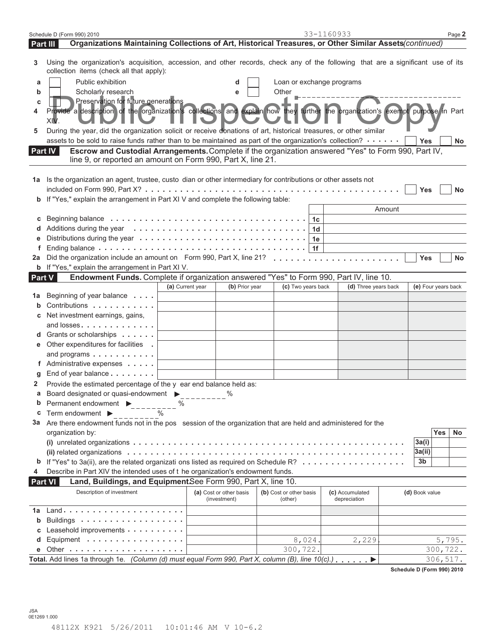| Organizations Maintaining Collections of Art, Historical Treasures, or Other Similar Assets(continued)<br>Part III<br>Using the organization's acquisition, accession, and other records, check any of the following that are a significant use of its<br>3<br>collection items (check all that apply):<br>Public exhibition<br>Loan or exchange programs<br>а<br>d<br>Scholarly research<br>Other<br>b<br>e<br>Preservation for future generations<br>c<br>Provide a description of the organization's collections and explain how they further the organization's exempt purpose in Part<br>XIV<br>During the year, did the organization solicit or receive donations of art, historical treasures, or other similar<br>5<br>assets to be sold to raise funds rather than to be maintained as part of the organization's collection?<br><b>Yes</b><br>No<br>Escrow and Custodial Arrangements. Complete if the organization answered "Yes" to Form 990, Part IV,<br><b>Part IV</b><br>line 9, or reported an amount on Form 990, Part X, line 21.<br>Is the organization an agent, trustee, custo dian or other intermediary for contributions or other assets not<br>1а<br>included on Form 990, Part $X$ ? $\ldots$ $\ldots$ $\ldots$ $\ldots$ $\ldots$ $\ldots$ $\ldots$ $\ldots$ $\ldots$ $\ldots$<br>Yes<br>No<br>.<br>If "Yes," explain the arrangement in Part XI V and complete the following table:<br>b<br>Amount<br>1c<br>С<br>1d<br>1e<br>1f<br>Yes<br><b>No</b><br>2a<br><b>b</b> If "Yes," explain the arrangement in Part XI V.<br>Endowment Funds. Complete if organization answered "Yes" to Form 990, Part IV, line 10.<br>Part V<br>(e) Four years back<br>(a) Current year<br>(b) Prior year<br>(c) Two years back<br>(d) Three years back<br>Beginning of year balance<br>1а<br>Contributions<br>Net investment earnings, gains,<br>and losses<br>Grants or scholarships<br>d<br>Other expenditures for facilities<br>е<br>and programs<br>f Administrative expenses<br>End of year balance<br>Provide the estimated percentage of the y ear end balance held as:<br>2<br>а<br>Board designated or quasi-endowment $\blacktriangleright$<br>Permanent endowment ▶<br>b<br>$\%$<br>$--- 96$<br>Term endowment $\blacktriangleright$<br>С<br>3a Are there endowment funds not in the pos session of the organization that are held and administered for the<br>Yes<br>No<br>organization by:<br>3a(i)<br>3a(ii)<br><b>b</b> If "Yes" to 3a(ii), are the related organizati ons listed as required on Schedule R?<br>3b<br>Describe in Part XIV the intended uses of t he organization's endowment funds.<br>4<br>Land, Buildings, and EquipmentSee Form 990, Part X, line 10.<br><b>Part VI</b> | Schedule D (Form 990) 2010 |  | 33-1160933 | Page 2 |
|----------------------------------------------------------------------------------------------------------------------------------------------------------------------------------------------------------------------------------------------------------------------------------------------------------------------------------------------------------------------------------------------------------------------------------------------------------------------------------------------------------------------------------------------------------------------------------------------------------------------------------------------------------------------------------------------------------------------------------------------------------------------------------------------------------------------------------------------------------------------------------------------------------------------------------------------------------------------------------------------------------------------------------------------------------------------------------------------------------------------------------------------------------------------------------------------------------------------------------------------------------------------------------------------------------------------------------------------------------------------------------------------------------------------------------------------------------------------------------------------------------------------------------------------------------------------------------------------------------------------------------------------------------------------------------------------------------------------------------------------------------------------------------------------------------------------------------------------------------------------------------------------------------------------------------------------------------------------------------------------------------------------------------------------------------------------------------------------------------------------------------------------------------------------------------------------------------------------------------------------------------------------------------------------------------------------------------------------------------------------------------------------------------------------------------------------------------------------------------------------------------------------------------------------------------------------------------------------------------------------------------------------------------------------------------------------------------------------|----------------------------|--|------------|--------|
|                                                                                                                                                                                                                                                                                                                                                                                                                                                                                                                                                                                                                                                                                                                                                                                                                                                                                                                                                                                                                                                                                                                                                                                                                                                                                                                                                                                                                                                                                                                                                                                                                                                                                                                                                                                                                                                                                                                                                                                                                                                                                                                                                                                                                                                                                                                                                                                                                                                                                                                                                                                                                                                                                                                      |                            |  |            |        |
|                                                                                                                                                                                                                                                                                                                                                                                                                                                                                                                                                                                                                                                                                                                                                                                                                                                                                                                                                                                                                                                                                                                                                                                                                                                                                                                                                                                                                                                                                                                                                                                                                                                                                                                                                                                                                                                                                                                                                                                                                                                                                                                                                                                                                                                                                                                                                                                                                                                                                                                                                                                                                                                                                                                      |                            |  |            |        |
|                                                                                                                                                                                                                                                                                                                                                                                                                                                                                                                                                                                                                                                                                                                                                                                                                                                                                                                                                                                                                                                                                                                                                                                                                                                                                                                                                                                                                                                                                                                                                                                                                                                                                                                                                                                                                                                                                                                                                                                                                                                                                                                                                                                                                                                                                                                                                                                                                                                                                                                                                                                                                                                                                                                      |                            |  |            |        |
|                                                                                                                                                                                                                                                                                                                                                                                                                                                                                                                                                                                                                                                                                                                                                                                                                                                                                                                                                                                                                                                                                                                                                                                                                                                                                                                                                                                                                                                                                                                                                                                                                                                                                                                                                                                                                                                                                                                                                                                                                                                                                                                                                                                                                                                                                                                                                                                                                                                                                                                                                                                                                                                                                                                      |                            |  |            |        |
|                                                                                                                                                                                                                                                                                                                                                                                                                                                                                                                                                                                                                                                                                                                                                                                                                                                                                                                                                                                                                                                                                                                                                                                                                                                                                                                                                                                                                                                                                                                                                                                                                                                                                                                                                                                                                                                                                                                                                                                                                                                                                                                                                                                                                                                                                                                                                                                                                                                                                                                                                                                                                                                                                                                      |                            |  |            |        |
|                                                                                                                                                                                                                                                                                                                                                                                                                                                                                                                                                                                                                                                                                                                                                                                                                                                                                                                                                                                                                                                                                                                                                                                                                                                                                                                                                                                                                                                                                                                                                                                                                                                                                                                                                                                                                                                                                                                                                                                                                                                                                                                                                                                                                                                                                                                                                                                                                                                                                                                                                                                                                                                                                                                      |                            |  |            |        |
|                                                                                                                                                                                                                                                                                                                                                                                                                                                                                                                                                                                                                                                                                                                                                                                                                                                                                                                                                                                                                                                                                                                                                                                                                                                                                                                                                                                                                                                                                                                                                                                                                                                                                                                                                                                                                                                                                                                                                                                                                                                                                                                                                                                                                                                                                                                                                                                                                                                                                                                                                                                                                                                                                                                      |                            |  |            |        |
|                                                                                                                                                                                                                                                                                                                                                                                                                                                                                                                                                                                                                                                                                                                                                                                                                                                                                                                                                                                                                                                                                                                                                                                                                                                                                                                                                                                                                                                                                                                                                                                                                                                                                                                                                                                                                                                                                                                                                                                                                                                                                                                                                                                                                                                                                                                                                                                                                                                                                                                                                                                                                                                                                                                      |                            |  |            |        |
|                                                                                                                                                                                                                                                                                                                                                                                                                                                                                                                                                                                                                                                                                                                                                                                                                                                                                                                                                                                                                                                                                                                                                                                                                                                                                                                                                                                                                                                                                                                                                                                                                                                                                                                                                                                                                                                                                                                                                                                                                                                                                                                                                                                                                                                                                                                                                                                                                                                                                                                                                                                                                                                                                                                      |                            |  |            |        |
|                                                                                                                                                                                                                                                                                                                                                                                                                                                                                                                                                                                                                                                                                                                                                                                                                                                                                                                                                                                                                                                                                                                                                                                                                                                                                                                                                                                                                                                                                                                                                                                                                                                                                                                                                                                                                                                                                                                                                                                                                                                                                                                                                                                                                                                                                                                                                                                                                                                                                                                                                                                                                                                                                                                      |                            |  |            |        |
|                                                                                                                                                                                                                                                                                                                                                                                                                                                                                                                                                                                                                                                                                                                                                                                                                                                                                                                                                                                                                                                                                                                                                                                                                                                                                                                                                                                                                                                                                                                                                                                                                                                                                                                                                                                                                                                                                                                                                                                                                                                                                                                                                                                                                                                                                                                                                                                                                                                                                                                                                                                                                                                                                                                      |                            |  |            |        |
|                                                                                                                                                                                                                                                                                                                                                                                                                                                                                                                                                                                                                                                                                                                                                                                                                                                                                                                                                                                                                                                                                                                                                                                                                                                                                                                                                                                                                                                                                                                                                                                                                                                                                                                                                                                                                                                                                                                                                                                                                                                                                                                                                                                                                                                                                                                                                                                                                                                                                                                                                                                                                                                                                                                      |                            |  |            |        |
|                                                                                                                                                                                                                                                                                                                                                                                                                                                                                                                                                                                                                                                                                                                                                                                                                                                                                                                                                                                                                                                                                                                                                                                                                                                                                                                                                                                                                                                                                                                                                                                                                                                                                                                                                                                                                                                                                                                                                                                                                                                                                                                                                                                                                                                                                                                                                                                                                                                                                                                                                                                                                                                                                                                      |                            |  |            |        |
|                                                                                                                                                                                                                                                                                                                                                                                                                                                                                                                                                                                                                                                                                                                                                                                                                                                                                                                                                                                                                                                                                                                                                                                                                                                                                                                                                                                                                                                                                                                                                                                                                                                                                                                                                                                                                                                                                                                                                                                                                                                                                                                                                                                                                                                                                                                                                                                                                                                                                                                                                                                                                                                                                                                      |                            |  |            |        |
|                                                                                                                                                                                                                                                                                                                                                                                                                                                                                                                                                                                                                                                                                                                                                                                                                                                                                                                                                                                                                                                                                                                                                                                                                                                                                                                                                                                                                                                                                                                                                                                                                                                                                                                                                                                                                                                                                                                                                                                                                                                                                                                                                                                                                                                                                                                                                                                                                                                                                                                                                                                                                                                                                                                      |                            |  |            |        |
|                                                                                                                                                                                                                                                                                                                                                                                                                                                                                                                                                                                                                                                                                                                                                                                                                                                                                                                                                                                                                                                                                                                                                                                                                                                                                                                                                                                                                                                                                                                                                                                                                                                                                                                                                                                                                                                                                                                                                                                                                                                                                                                                                                                                                                                                                                                                                                                                                                                                                                                                                                                                                                                                                                                      |                            |  |            |        |
|                                                                                                                                                                                                                                                                                                                                                                                                                                                                                                                                                                                                                                                                                                                                                                                                                                                                                                                                                                                                                                                                                                                                                                                                                                                                                                                                                                                                                                                                                                                                                                                                                                                                                                                                                                                                                                                                                                                                                                                                                                                                                                                                                                                                                                                                                                                                                                                                                                                                                                                                                                                                                                                                                                                      |                            |  |            |        |
|                                                                                                                                                                                                                                                                                                                                                                                                                                                                                                                                                                                                                                                                                                                                                                                                                                                                                                                                                                                                                                                                                                                                                                                                                                                                                                                                                                                                                                                                                                                                                                                                                                                                                                                                                                                                                                                                                                                                                                                                                                                                                                                                                                                                                                                                                                                                                                                                                                                                                                                                                                                                                                                                                                                      |                            |  |            |        |
|                                                                                                                                                                                                                                                                                                                                                                                                                                                                                                                                                                                                                                                                                                                                                                                                                                                                                                                                                                                                                                                                                                                                                                                                                                                                                                                                                                                                                                                                                                                                                                                                                                                                                                                                                                                                                                                                                                                                                                                                                                                                                                                                                                                                                                                                                                                                                                                                                                                                                                                                                                                                                                                                                                                      |                            |  |            |        |
|                                                                                                                                                                                                                                                                                                                                                                                                                                                                                                                                                                                                                                                                                                                                                                                                                                                                                                                                                                                                                                                                                                                                                                                                                                                                                                                                                                                                                                                                                                                                                                                                                                                                                                                                                                                                                                                                                                                                                                                                                                                                                                                                                                                                                                                                                                                                                                                                                                                                                                                                                                                                                                                                                                                      |                            |  |            |        |
|                                                                                                                                                                                                                                                                                                                                                                                                                                                                                                                                                                                                                                                                                                                                                                                                                                                                                                                                                                                                                                                                                                                                                                                                                                                                                                                                                                                                                                                                                                                                                                                                                                                                                                                                                                                                                                                                                                                                                                                                                                                                                                                                                                                                                                                                                                                                                                                                                                                                                                                                                                                                                                                                                                                      |                            |  |            |        |
|                                                                                                                                                                                                                                                                                                                                                                                                                                                                                                                                                                                                                                                                                                                                                                                                                                                                                                                                                                                                                                                                                                                                                                                                                                                                                                                                                                                                                                                                                                                                                                                                                                                                                                                                                                                                                                                                                                                                                                                                                                                                                                                                                                                                                                                                                                                                                                                                                                                                                                                                                                                                                                                                                                                      |                            |  |            |        |
|                                                                                                                                                                                                                                                                                                                                                                                                                                                                                                                                                                                                                                                                                                                                                                                                                                                                                                                                                                                                                                                                                                                                                                                                                                                                                                                                                                                                                                                                                                                                                                                                                                                                                                                                                                                                                                                                                                                                                                                                                                                                                                                                                                                                                                                                                                                                                                                                                                                                                                                                                                                                                                                                                                                      |                            |  |            |        |
|                                                                                                                                                                                                                                                                                                                                                                                                                                                                                                                                                                                                                                                                                                                                                                                                                                                                                                                                                                                                                                                                                                                                                                                                                                                                                                                                                                                                                                                                                                                                                                                                                                                                                                                                                                                                                                                                                                                                                                                                                                                                                                                                                                                                                                                                                                                                                                                                                                                                                                                                                                                                                                                                                                                      |                            |  |            |        |
|                                                                                                                                                                                                                                                                                                                                                                                                                                                                                                                                                                                                                                                                                                                                                                                                                                                                                                                                                                                                                                                                                                                                                                                                                                                                                                                                                                                                                                                                                                                                                                                                                                                                                                                                                                                                                                                                                                                                                                                                                                                                                                                                                                                                                                                                                                                                                                                                                                                                                                                                                                                                                                                                                                                      |                            |  |            |        |
|                                                                                                                                                                                                                                                                                                                                                                                                                                                                                                                                                                                                                                                                                                                                                                                                                                                                                                                                                                                                                                                                                                                                                                                                                                                                                                                                                                                                                                                                                                                                                                                                                                                                                                                                                                                                                                                                                                                                                                                                                                                                                                                                                                                                                                                                                                                                                                                                                                                                                                                                                                                                                                                                                                                      |                            |  |            |        |
|                                                                                                                                                                                                                                                                                                                                                                                                                                                                                                                                                                                                                                                                                                                                                                                                                                                                                                                                                                                                                                                                                                                                                                                                                                                                                                                                                                                                                                                                                                                                                                                                                                                                                                                                                                                                                                                                                                                                                                                                                                                                                                                                                                                                                                                                                                                                                                                                                                                                                                                                                                                                                                                                                                                      |                            |  |            |        |
|                                                                                                                                                                                                                                                                                                                                                                                                                                                                                                                                                                                                                                                                                                                                                                                                                                                                                                                                                                                                                                                                                                                                                                                                                                                                                                                                                                                                                                                                                                                                                                                                                                                                                                                                                                                                                                                                                                                                                                                                                                                                                                                                                                                                                                                                                                                                                                                                                                                                                                                                                                                                                                                                                                                      |                            |  |            |        |
|                                                                                                                                                                                                                                                                                                                                                                                                                                                                                                                                                                                                                                                                                                                                                                                                                                                                                                                                                                                                                                                                                                                                                                                                                                                                                                                                                                                                                                                                                                                                                                                                                                                                                                                                                                                                                                                                                                                                                                                                                                                                                                                                                                                                                                                                                                                                                                                                                                                                                                                                                                                                                                                                                                                      |                            |  |            |        |
|                                                                                                                                                                                                                                                                                                                                                                                                                                                                                                                                                                                                                                                                                                                                                                                                                                                                                                                                                                                                                                                                                                                                                                                                                                                                                                                                                                                                                                                                                                                                                                                                                                                                                                                                                                                                                                                                                                                                                                                                                                                                                                                                                                                                                                                                                                                                                                                                                                                                                                                                                                                                                                                                                                                      |                            |  |            |        |
|                                                                                                                                                                                                                                                                                                                                                                                                                                                                                                                                                                                                                                                                                                                                                                                                                                                                                                                                                                                                                                                                                                                                                                                                                                                                                                                                                                                                                                                                                                                                                                                                                                                                                                                                                                                                                                                                                                                                                                                                                                                                                                                                                                                                                                                                                                                                                                                                                                                                                                                                                                                                                                                                                                                      |                            |  |            |        |
|                                                                                                                                                                                                                                                                                                                                                                                                                                                                                                                                                                                                                                                                                                                                                                                                                                                                                                                                                                                                                                                                                                                                                                                                                                                                                                                                                                                                                                                                                                                                                                                                                                                                                                                                                                                                                                                                                                                                                                                                                                                                                                                                                                                                                                                                                                                                                                                                                                                                                                                                                                                                                                                                                                                      |                            |  |            |        |
|                                                                                                                                                                                                                                                                                                                                                                                                                                                                                                                                                                                                                                                                                                                                                                                                                                                                                                                                                                                                                                                                                                                                                                                                                                                                                                                                                                                                                                                                                                                                                                                                                                                                                                                                                                                                                                                                                                                                                                                                                                                                                                                                                                                                                                                                                                                                                                                                                                                                                                                                                                                                                                                                                                                      |                            |  |            |        |
|                                                                                                                                                                                                                                                                                                                                                                                                                                                                                                                                                                                                                                                                                                                                                                                                                                                                                                                                                                                                                                                                                                                                                                                                                                                                                                                                                                                                                                                                                                                                                                                                                                                                                                                                                                                                                                                                                                                                                                                                                                                                                                                                                                                                                                                                                                                                                                                                                                                                                                                                                                                                                                                                                                                      |                            |  |            |        |
|                                                                                                                                                                                                                                                                                                                                                                                                                                                                                                                                                                                                                                                                                                                                                                                                                                                                                                                                                                                                                                                                                                                                                                                                                                                                                                                                                                                                                                                                                                                                                                                                                                                                                                                                                                                                                                                                                                                                                                                                                                                                                                                                                                                                                                                                                                                                                                                                                                                                                                                                                                                                                                                                                                                      |                            |  |            |        |
|                                                                                                                                                                                                                                                                                                                                                                                                                                                                                                                                                                                                                                                                                                                                                                                                                                                                                                                                                                                                                                                                                                                                                                                                                                                                                                                                                                                                                                                                                                                                                                                                                                                                                                                                                                                                                                                                                                                                                                                                                                                                                                                                                                                                                                                                                                                                                                                                                                                                                                                                                                                                                                                                                                                      |                            |  |            |        |
|                                                                                                                                                                                                                                                                                                                                                                                                                                                                                                                                                                                                                                                                                                                                                                                                                                                                                                                                                                                                                                                                                                                                                                                                                                                                                                                                                                                                                                                                                                                                                                                                                                                                                                                                                                                                                                                                                                                                                                                                                                                                                                                                                                                                                                                                                                                                                                                                                                                                                                                                                                                                                                                                                                                      |                            |  |            |        |
|                                                                                                                                                                                                                                                                                                                                                                                                                                                                                                                                                                                                                                                                                                                                                                                                                                                                                                                                                                                                                                                                                                                                                                                                                                                                                                                                                                                                                                                                                                                                                                                                                                                                                                                                                                                                                                                                                                                                                                                                                                                                                                                                                                                                                                                                                                                                                                                                                                                                                                                                                                                                                                                                                                                      |                            |  |            |        |
|                                                                                                                                                                                                                                                                                                                                                                                                                                                                                                                                                                                                                                                                                                                                                                                                                                                                                                                                                                                                                                                                                                                                                                                                                                                                                                                                                                                                                                                                                                                                                                                                                                                                                                                                                                                                                                                                                                                                                                                                                                                                                                                                                                                                                                                                                                                                                                                                                                                                                                                                                                                                                                                                                                                      |                            |  |            |        |
|                                                                                                                                                                                                                                                                                                                                                                                                                                                                                                                                                                                                                                                                                                                                                                                                                                                                                                                                                                                                                                                                                                                                                                                                                                                                                                                                                                                                                                                                                                                                                                                                                                                                                                                                                                                                                                                                                                                                                                                                                                                                                                                                                                                                                                                                                                                                                                                                                                                                                                                                                                                                                                                                                                                      |                            |  |            |        |
|                                                                                                                                                                                                                                                                                                                                                                                                                                                                                                                                                                                                                                                                                                                                                                                                                                                                                                                                                                                                                                                                                                                                                                                                                                                                                                                                                                                                                                                                                                                                                                                                                                                                                                                                                                                                                                                                                                                                                                                                                                                                                                                                                                                                                                                                                                                                                                                                                                                                                                                                                                                                                                                                                                                      |                            |  |            |        |
|                                                                                                                                                                                                                                                                                                                                                                                                                                                                                                                                                                                                                                                                                                                                                                                                                                                                                                                                                                                                                                                                                                                                                                                                                                                                                                                                                                                                                                                                                                                                                                                                                                                                                                                                                                                                                                                                                                                                                                                                                                                                                                                                                                                                                                                                                                                                                                                                                                                                                                                                                                                                                                                                                                                      |                            |  |            |        |
| Description of investment<br>(a) Cost or other basis<br>(b) Cost or other basis<br>(c) Accumulated<br>(d) Book value<br>depreciation<br>(investment)<br>(other)                                                                                                                                                                                                                                                                                                                                                                                                                                                                                                                                                                                                                                                                                                                                                                                                                                                                                                                                                                                                                                                                                                                                                                                                                                                                                                                                                                                                                                                                                                                                                                                                                                                                                                                                                                                                                                                                                                                                                                                                                                                                                                                                                                                                                                                                                                                                                                                                                                                                                                                                                      |                            |  |            |        |
| 1a                                                                                                                                                                                                                                                                                                                                                                                                                                                                                                                                                                                                                                                                                                                                                                                                                                                                                                                                                                                                                                                                                                                                                                                                                                                                                                                                                                                                                                                                                                                                                                                                                                                                                                                                                                                                                                                                                                                                                                                                                                                                                                                                                                                                                                                                                                                                                                                                                                                                                                                                                                                                                                                                                                                   |                            |  |            |        |
| Buildings<br>b                                                                                                                                                                                                                                                                                                                                                                                                                                                                                                                                                                                                                                                                                                                                                                                                                                                                                                                                                                                                                                                                                                                                                                                                                                                                                                                                                                                                                                                                                                                                                                                                                                                                                                                                                                                                                                                                                                                                                                                                                                                                                                                                                                                                                                                                                                                                                                                                                                                                                                                                                                                                                                                                                                       |                            |  |            |        |
| Leasehold improvements                                                                                                                                                                                                                                                                                                                                                                                                                                                                                                                                                                                                                                                                                                                                                                                                                                                                                                                                                                                                                                                                                                                                                                                                                                                                                                                                                                                                                                                                                                                                                                                                                                                                                                                                                                                                                                                                                                                                                                                                                                                                                                                                                                                                                                                                                                                                                                                                                                                                                                                                                                                                                                                                                               |                            |  |            |        |
| Equipment $\dots \dots \dots \dots \dots \dots$<br>8,024.<br>2,229<br>5,795.                                                                                                                                                                                                                                                                                                                                                                                                                                                                                                                                                                                                                                                                                                                                                                                                                                                                                                                                                                                                                                                                                                                                                                                                                                                                                                                                                                                                                                                                                                                                                                                                                                                                                                                                                                                                                                                                                                                                                                                                                                                                                                                                                                                                                                                                                                                                                                                                                                                                                                                                                                                                                                         |                            |  |            |        |
| 300,722.<br>300,722.<br>Other $\ldots \ldots \ldots \ldots \ldots \ldots \ldots$                                                                                                                                                                                                                                                                                                                                                                                                                                                                                                                                                                                                                                                                                                                                                                                                                                                                                                                                                                                                                                                                                                                                                                                                                                                                                                                                                                                                                                                                                                                                                                                                                                                                                                                                                                                                                                                                                                                                                                                                                                                                                                                                                                                                                                                                                                                                                                                                                                                                                                                                                                                                                                     |                            |  |            |        |
| Total. Add lines 1a through 1e. (Column (d) must equal Form 990, Part X, column (B), line $10(c)$ .)<br>306, 517.                                                                                                                                                                                                                                                                                                                                                                                                                                                                                                                                                                                                                                                                                                                                                                                                                                                                                                                                                                                                                                                                                                                                                                                                                                                                                                                                                                                                                                                                                                                                                                                                                                                                                                                                                                                                                                                                                                                                                                                                                                                                                                                                                                                                                                                                                                                                                                                                                                                                                                                                                                                                    |                            |  |            |        |

**Schedule D (Form 990) 2010**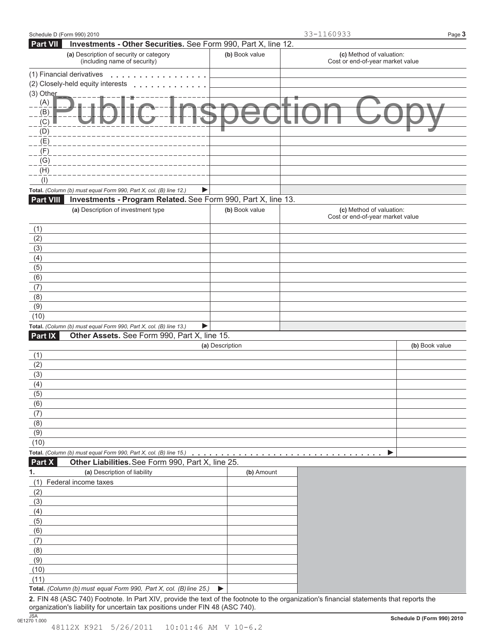| Schedule D (Form 990) 2010 |                                                                                                                                         |                 | 33-1160933                                                   | Page 3         |
|----------------------------|-----------------------------------------------------------------------------------------------------------------------------------------|-----------------|--------------------------------------------------------------|----------------|
| <b>Part VII</b>            | Investments - Other Securities. See Form 990, Part X, line 12.                                                                          |                 |                                                              |                |
|                            | (a) Description of security or category<br>(including name of security)                                                                 | (b) Book value  | (c) Method of valuation:<br>Cost or end-of-year market value |                |
| (1) Financial derivatives  |                                                                                                                                         |                 |                                                              |                |
|                            | (2) Closely-held equity interests                                                                                                       |                 |                                                              |                |
| $(3)$ Other                |                                                                                                                                         |                 |                                                              |                |
| (A)                        |                                                                                                                                         |                 |                                                              |                |
| (B)                        |                                                                                                                                         |                 |                                                              |                |
| (C)                        |                                                                                                                                         |                 |                                                              |                |
| (D)                        |                                                                                                                                         |                 |                                                              |                |
| (E)                        |                                                                                                                                         |                 |                                                              |                |
| (F)                        |                                                                                                                                         |                 |                                                              |                |
| (G)                        |                                                                                                                                         |                 |                                                              |                |
| (H)                        |                                                                                                                                         |                 |                                                              |                |
| (1)                        |                                                                                                                                         |                 |                                                              |                |
|                            | Total. (Column (b) must equal Form 990, Part X, col. (B) line 12.)<br>▶                                                                 |                 |                                                              |                |
| <b>Part VIII</b>           | Investments - Program Related. See Form 990, Part X, line 13.                                                                           |                 |                                                              |                |
|                            | (a) Description of investment type                                                                                                      | (b) Book value  | (c) Method of valuation:<br>Cost or end-of-year market value |                |
| (1)                        |                                                                                                                                         |                 |                                                              |                |
| (2)                        |                                                                                                                                         |                 |                                                              |                |
| (3)                        |                                                                                                                                         |                 |                                                              |                |
| (4)                        |                                                                                                                                         |                 |                                                              |                |
| (5)                        |                                                                                                                                         |                 |                                                              |                |
| (6)                        |                                                                                                                                         |                 |                                                              |                |
| (7)                        |                                                                                                                                         |                 |                                                              |                |
| (8)                        |                                                                                                                                         |                 |                                                              |                |
| (9)                        |                                                                                                                                         |                 |                                                              |                |
| (10)                       |                                                                                                                                         |                 |                                                              |                |
|                            | Total. (Column (b) must equal Form 990, Part X, col. (B) line 13.)<br>▶                                                                 |                 |                                                              |                |
| Part IX                    | Other Assets. See Form 990, Part X, line 15.                                                                                            |                 |                                                              |                |
|                            |                                                                                                                                         | (a) Description |                                                              | (b) Book value |
| (1)                        |                                                                                                                                         |                 |                                                              |                |
| (2)                        |                                                                                                                                         |                 |                                                              |                |
| (3)                        |                                                                                                                                         |                 |                                                              |                |
| (4)                        |                                                                                                                                         |                 |                                                              |                |
| (5)                        |                                                                                                                                         |                 |                                                              |                |
| (6)                        |                                                                                                                                         |                 |                                                              |                |
| (7)                        |                                                                                                                                         |                 |                                                              |                |
| (8)                        |                                                                                                                                         |                 |                                                              |                |
| (9)                        |                                                                                                                                         |                 |                                                              |                |
| (10)                       |                                                                                                                                         |                 |                                                              |                |
|                            |                                                                                                                                         |                 | ▶                                                            |                |
| <b>Part X</b>              | Other Liabilities. See Form 990, Part X, line 25.                                                                                       |                 |                                                              |                |
| 1.                         | (a) Description of liability                                                                                                            | (b) Amount      |                                                              |                |
|                            | (1) Federal income taxes                                                                                                                |                 |                                                              |                |
| (2)                        |                                                                                                                                         |                 |                                                              |                |
| (3)                        |                                                                                                                                         |                 |                                                              |                |
| (4)                        |                                                                                                                                         |                 |                                                              |                |
| (5)                        |                                                                                                                                         |                 |                                                              |                |
| (6)                        |                                                                                                                                         |                 |                                                              |                |
| (7)                        |                                                                                                                                         |                 |                                                              |                |
| (8)                        |                                                                                                                                         |                 |                                                              |                |
| (9)                        |                                                                                                                                         |                 |                                                              |                |
| (10)                       |                                                                                                                                         |                 |                                                              |                |
| (11)                       |                                                                                                                                         |                 |                                                              |                |
|                            | Total. (Column (b) must equal Form 990, Part X, col. (B) line 25.)                                                                      | ▶               |                                                              |                |
|                            | 2. FIN 48 (ASC 740) Footnote. In Part XIV, provide the text of the footnote to the organization's financial statements that reports the |                 |                                                              |                |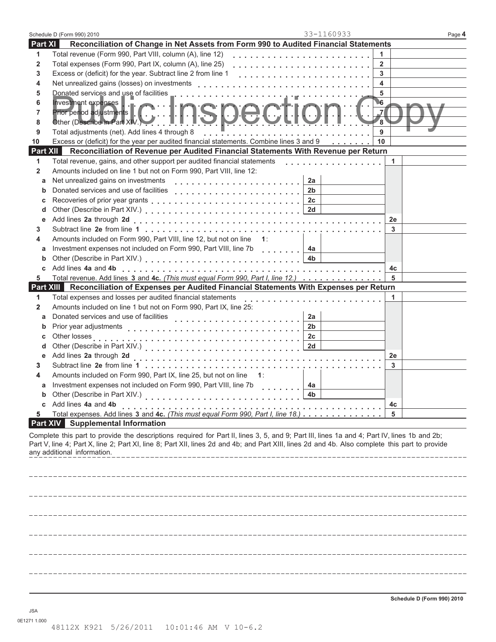|                                                                                                | Schedule D (Form 990) 2010                                                                                                                                                                                                                                                                                                   | 33-1160933                                     | Page 4 |  |
|------------------------------------------------------------------------------------------------|------------------------------------------------------------------------------------------------------------------------------------------------------------------------------------------------------------------------------------------------------------------------------------------------------------------------------|------------------------------------------------|--------|--|
| Part XI                                                                                        | Reconciliation of Change in Net Assets from Form 990 to Audited Financial Statements                                                                                                                                                                                                                                         |                                                |        |  |
| 1                                                                                              | Total revenue (Form 990, Part VIII, column (A), line 12)                                                                                                                                                                                                                                                                     | 1                                              |        |  |
| $\mathbf{2}$                                                                                   | Total expenses (Form 990, Part IX, column (A), line 25)                                                                                                                                                                                                                                                                      | $\overline{2}$                                 |        |  |
| 3                                                                                              | Excess or (deficit) for the year. Subtract line 2 from line 1                                                                                                                                                                                                                                                                | 3                                              |        |  |
| 4                                                                                              | Net unrealized gains (losses) on investments                                                                                                                                                                                                                                                                                 | 4                                              |        |  |
| 5                                                                                              | Donated services and use of facilities                                                                                                                                                                                                                                                                                       | 5                                              |        |  |
| 6                                                                                              | Investment expenses                                                                                                                                                                                                                                                                                                          | 6                                              |        |  |
| 7                                                                                              |                                                                                                                                                                                                                                                                                                                              | $\overline{J}$                                 |        |  |
| 8                                                                                              | Prior period adjustments   C         SDCCI                                                                                                                                                                                                                                                                                   | 8                                              |        |  |
| 9                                                                                              | Total adjustments (net). Add lines 4 through 8                                                                                                                                                                                                                                                                               | 9                                              |        |  |
| 10                                                                                             | Excess or (deficit) for the year per audited financial statements. Combine lines 3 and 9                                                                                                                                                                                                                                     | 10                                             |        |  |
| Part XII<br>Reconciliation of Revenue per Audited Financial Statements With Revenue per Return |                                                                                                                                                                                                                                                                                                                              |                                                |        |  |
| 1                                                                                              | Total revenue, gains, and other support per audited financial statements                                                                                                                                                                                                                                                     | 1                                              |        |  |
| $\mathbf{2}$                                                                                   | Amounts included on line 1 but not on Form 990, Part VIII, line 12:                                                                                                                                                                                                                                                          |                                                |        |  |
| a                                                                                              | Net unrealized gains on investments                                                                                                                                                                                                                                                                                          | 2a                                             |        |  |
| b                                                                                              | Donated services and use of facilities                                                                                                                                                                                                                                                                                       | 2 <sub>b</sub>                                 |        |  |
| С                                                                                              |                                                                                                                                                                                                                                                                                                                              | 2c                                             |        |  |
| d                                                                                              |                                                                                                                                                                                                                                                                                                                              | 2d                                             |        |  |
| е                                                                                              |                                                                                                                                                                                                                                                                                                                              | 2e                                             |        |  |
| 3                                                                                              |                                                                                                                                                                                                                                                                                                                              | 3                                              |        |  |
| 4                                                                                              | Amounts included on Form 990, Part VIII, line 12, but not on line                                                                                                                                                                                                                                                            | $-1$ :                                         |        |  |
| a                                                                                              | Investment expenses not included on Form 990, Part VIII, line 7b                                                                                                                                                                                                                                                             | 4a<br>. 1                                      |        |  |
| b                                                                                              |                                                                                                                                                                                                                                                                                                                              | 4 <sub>b</sub>                                 |        |  |
| c                                                                                              |                                                                                                                                                                                                                                                                                                                              | 4c                                             |        |  |
| 5                                                                                              | Total revenue. Add lines 3 and 4c. (This must equal Form 990, Part I, line 12.)                                                                                                                                                                                                                                              | 5                                              |        |  |
| Part XIII Reconciliation of Expenses per Audited Financial Statements With Expenses per Return |                                                                                                                                                                                                                                                                                                                              |                                                |        |  |
| 1                                                                                              | Total expenses and losses per audited financial statements                                                                                                                                                                                                                                                                   | 1<br>ra di analara di analara di analara da la |        |  |
| $\mathbf{2}$                                                                                   | Amounts included on line 1 but not on Form 990, Part IX, line 25:                                                                                                                                                                                                                                                            |                                                |        |  |
| a                                                                                              | Donated services and use of facilities                                                                                                                                                                                                                                                                                       | 2a                                             |        |  |
| b                                                                                              | Prior year adjustments                                                                                                                                                                                                                                                                                                       | 2 <sub>b</sub>                                 |        |  |
| С                                                                                              | Other losses                                                                                                                                                                                                                                                                                                                 | 2c                                             |        |  |
| d                                                                                              |                                                                                                                                                                                                                                                                                                                              | 2d                                             |        |  |
| е                                                                                              | Add lines 2a through 2d                                                                                                                                                                                                                                                                                                      | 2e                                             |        |  |
| 3.                                                                                             |                                                                                                                                                                                                                                                                                                                              | 3                                              |        |  |
| 4                                                                                              | Amounts included on Form 990, Part IX, line 25, but not on line<br>Investment expenses not included on Form 990, Part VIII, line 7b                                                                                                                                                                                          | $\mathbf{1}$ :                                 |        |  |
| а                                                                                              | Other (Describe in Part XIV.)                                                                                                                                                                                                                                                                                                | 4a                                             |        |  |
| c                                                                                              | Add lines 4a and 4b                                                                                                                                                                                                                                                                                                          |                                                |        |  |
| 5                                                                                              | Total expenses. Add lines 3 and 4c. (This must equal Form 990, Part I, line 18.)                                                                                                                                                                                                                                             | 4c<br>5                                        |        |  |
|                                                                                                | <b>Part XIV</b> Supplemental Information                                                                                                                                                                                                                                                                                     |                                                |        |  |
|                                                                                                | Complete this part to provide the descriptions required for Part II, lines 3, 5, and 9; Part III, lines 1a and 4; Part IV, lines 1b and 2b;<br>Part V, line 4; Part X, line 2; Part XI, line 8; Part XII, lines 2d and 4b; and Part XIII, lines 2d and 4b. Also complete this part to provide<br>any additional information. |                                                |        |  |
|                                                                                                |                                                                                                                                                                                                                                                                                                                              |                                                |        |  |
|                                                                                                |                                                                                                                                                                                                                                                                                                                              |                                                |        |  |
|                                                                                                |                                                                                                                                                                                                                                                                                                                              |                                                |        |  |
|                                                                                                |                                                                                                                                                                                                                                                                                                                              |                                                |        |  |
|                                                                                                |                                                                                                                                                                                                                                                                                                                              |                                                |        |  |
|                                                                                                |                                                                                                                                                                                                                                                                                                                              |                                                |        |  |
|                                                                                                |                                                                                                                                                                                                                                                                                                                              |                                                |        |  |
|                                                                                                |                                                                                                                                                                                                                                                                                                                              |                                                |        |  |
|                                                                                                |                                                                                                                                                                                                                                                                                                                              |                                                |        |  |
|                                                                                                |                                                                                                                                                                                                                                                                                                                              |                                                |        |  |
|                                                                                                |                                                                                                                                                                                                                                                                                                                              |                                                |        |  |
|                                                                                                |                                                                                                                                                                                                                                                                                                                              |                                                |        |  |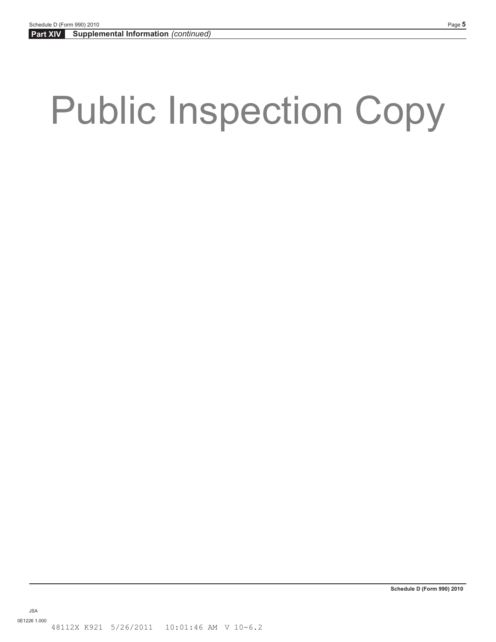# Public Inspection Copy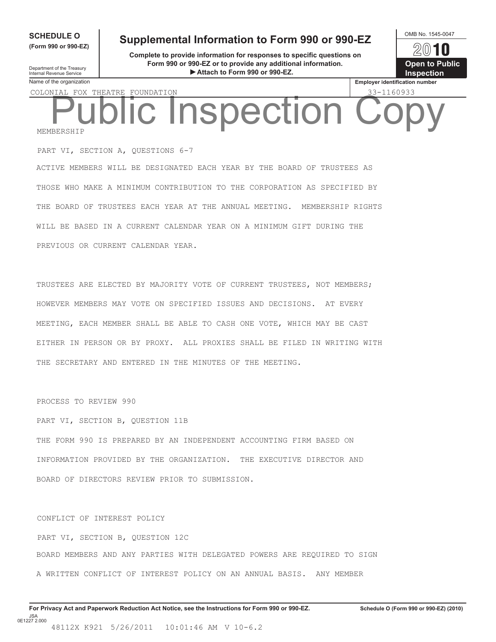**(Form 990 or 990-EZ)**

### **SCHEDULE O** Supplemental Information to Form 990 or 990-EZ **OMB No. 1545-0047**

**Complete to provide information for responses to specific questions on Form 990 or 990-EZ or to provide any additional information.** Department of the Treasury<br> **Attach to Form 990 or 990-EZ. Inspection** 



Department of the Treasury<br>Internal Revenue Service<br>Name of the organization

COLONIAL FOX THEATRE FOUNDATION 33-1160933

MEMBERSHIP Inspection

PART VI, SECTION A, QUESTIONS 6-7 ACTIVE MEMBERS WILL BE DESIGNATED EACH YEAR BY THE BOARD OF TRUSTEES AS THOSE WHO MAKE A MINIMUM CONTRIBUTION TO THE CORPORATION AS SPECIFIED BY THE BOARD OF TRUSTEES EACH YEAR AT THE ANNUAL MEETING. MEMBERSHIP RIGHTS WILL BE BASED IN A CURRENT CALENDAR YEAR ON A MINIMUM GIFT DURING THE PREVIOUS OR CURRENT CALENDAR YEAR.

TRUSTEES ARE ELECTED BY MAJORITY VOTE OF CURRENT TRUSTEES, NOT MEMBERS; HOWEVER MEMBERS MAY VOTE ON SPECIFIED ISSUES AND DECISIONS. AT EVERY MEETING, EACH MEMBER SHALL BE ABLE TO CASH ONE VOTE, WHICH MAY BE CAST EITHER IN PERSON OR BY PROXY. ALL PROXIES SHALL BE FILED IN WRITING WITH THE SECRETARY AND ENTERED IN THE MINUTES OF THE MEETING.

PROCESS TO REVIEW 990

PART VI, SECTION B, QUESTION 11B THE FORM 990 IS PREPARED BY AN INDEPENDENT ACCOUNTING FIRM BASED ON INFORMATION PROVIDED BY THE ORGANIZATION. THE EXECUTIVE DIRECTOR AND BOARD OF DIRECTORS REVIEW PRIOR TO SUBMISSION.

CONFLICT OF INTEREST POLICY PART VI, SECTION B, QUESTION 12C BOARD MEMBERS AND ANY PARTIES WITH DELEGATED POWERS ARE REQUIRED TO SIGN A WRITTEN CONFLICT OF INTEREST POLICY ON AN ANNUAL BASIS. ANY MEMBER